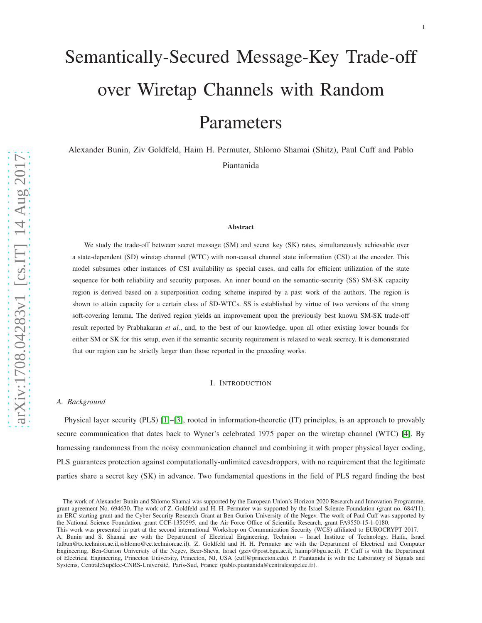# Semantically-Secured Message-Key Trade-off over Wiretap Channels with Random Parameters

Alexander Bunin, Ziv Goldfeld, Haim H. Permuter, Shlomo Shamai (Shitz), Paul Cuff and Pablo Piantanida

#### Abstract

We study the trade-off between secret message (SM) and secret key (SK) rates, simultaneously achievable over a state-dependent (SD) wiretap channel (WTC) with non-causal channel state information (CSI) at the encoder. This model subsumes other instances of CSI availability as special cases, and calls for efficient utilization of the state sequence for both reliability and security purposes. An inner bound on the semantic-security (SS) SM-SK capacity region is derived based on a superposition coding scheme inspired by a past work of the authors. The region is shown to attain capacity for a certain class of SD-WTCs. SS is established by virtue of two versions of the strong soft-covering lemma. The derived region yields an improvement upon the previously best known SM-SK trade-off result reported by Prabhakaran *et al.*, and, to the best of our knowledge, upon all other existing lower bounds for either SM or SK for this setup, even if the semantic security requirement is relaxed to weak secrecy. It is demonstrated that our region can be strictly larger than those reported in the preceding works.

## I. INTRODUCTION

#### *A. Background*

Physical layer security (PLS) [\[1\]](#page-33-0)–[\[3\]](#page-33-1), rooted in information-theoretic (IT) principles, is an approach to provably secure communication that dates back to Wyner's celebrated 1975 paper on the wiretap channel (WTC) [\[4\]](#page-33-2). By harnessing randomness from the noisy communication channel and combining it with proper physical layer coding, PLS guarantees protection against computationally-unlimited eavesdroppers, with no requirement that the legitimat e parties share a secret key (SK) in advance. Two fundamental questions in the field of PLS regard finding the best

The work of Alexander Bunin and Shlomo Shamai was supported by the European Union's Horizon 2020 Research and Innovation Programme, grant agreement No. 694630. The work of Z. Goldfeld and H. H. Permuter was supported by the Israel Science Foundation (grant no. 684/11), an ERC starting grant and the Cyber Security Research Grant at Ben-Gurion University of the Negev. The work of Paul Cuff was supported by the National Science Foundation, grant CCF-1350595, and the Air Force Office of Scientific Research, grant FA9550-15-1-0180.

This work was presented in part at the second international Workshop on Communication Security (WCS) affiliated to EUROCRYPT 2017. A. Bunin and S. Shamai are with the Department of Electrical Engineering, Technion – Israel Institute of Technology, Haifa, Israel (albun@tx.technion.ac.il,sshlomo@ee.technion.ac.il). Z. Goldfeld and H. H. Permuter are with the Department of Electrical and Computer Engineering, Ben-Gurion University of the Negev, Beer-Sheva, Israel (gziv@post.bgu.ac.il, haimp@bgu.ac.il). P. Cuff is with the Department of Electrical Engineering, Princeton University, Princeton, NJ, USA (cuff@princeton.edu). P. Piantanida is with the Laboratory of Signals and Systems, CentraleSupélec-CNRS-Université, Paris-Sud, France (pablo.piantanida@centralesupelec.fr).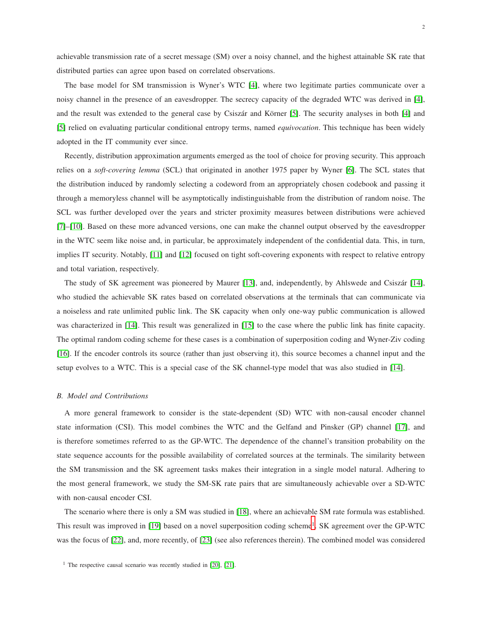achievable transmission rate of a secret message (SM) over a noisy channel, and the highest attainable SK rate that distributed parties can agree upon based on correlated observations.

The base model for SM transmission is Wyner's WTC [\[4\]](#page-33-2), where two legitimate parties communicate over a noisy channel in the presence of an eavesdropper. The secrecy capacity of the degraded WTC was derived in [\[4\]](#page-33-2), and the result was extended to the general case by Csiszár and Körner  $[5]$ . The security analyses in both  $[4]$  and [\[5\]](#page-33-3) relied on evaluating particular conditional entropy terms, named *equivocation*. This technique has been widely adopted in the IT community ever since.

Recently, distribution approximation arguments emerged as the tool of choice for proving security. This approach relies on a *soft-covering lemma* (SCL) that originated in another 1975 paper by Wyner [\[6\]](#page-33-4). The SCL states that the distribution induced by randomly selecting a codeword from an appropriately chosen codebook and passing it through a memoryless channel will be asymptotically indistinguishable from the distribution of random noise. The SCL was further developed over the years and stricter proximity measures between distributions were achieved [\[7\]](#page-33-5)–[\[10\]](#page-33-6). Based on these more advanced versions, one can make the channel output observed by the eavesdropper in the WTC seem like noise and, in particular, be approximately independent of the confidential data. This, in turn, implies IT security. Notably, [\[11\]](#page-33-7) and [\[12\]](#page-33-8) focused on tight soft-covering exponents with respect to relative entropy and total variation, respectively.

The study of SK agreement was pioneered by Maurer [\[13\]](#page-33-9), and, independently, by Ahlswede and Csiszár [\[14\]](#page-33-10), who studied the achievable SK rates based on correlated observations at the terminals that can communicate via a noiseless and rate unlimited public link. The SK capacity when only one-way public communication is allowed was characterized in [\[14\]](#page-33-10). This result was generalized in [\[15\]](#page-33-11) to the case where the public link has finite capacity. The optimal random coding scheme for these cases is a combination of superposition coding and Wyner-Ziv coding [\[16\]](#page-33-12). If the encoder controls its source (rather than just observing it), this source becomes a channel input and the setup evolves to a WTC. This is a special case of the SK channel-type model that was also studied in [\[14\]](#page-33-10).

#### *B. Model and Contributions*

A more general framework to consider is the state-dependent (SD) WTC with non-causal encoder channel state information (CSI). This model combines the WTC and the Gelfand and Pinsker (GP) channel [\[17\]](#page-33-13), and is therefore sometimes referred to as the GP-WTC. The dependence of the channel's transition probability on the state sequence accounts for the possible availability of correlated sources at the terminals. The similarity between the SM transmission and the SK agreement tasks makes their integration in a single model natural. Adhering to the most general framework, we study the SM-SK rate pairs that are simultaneously achievable over a SD-WTC with non-causal encoder CSI.

The scenario where there is only a SM was studied in [\[18\]](#page-33-14), where an achievable SM rate formula was established. This result was improved in [\[19\]](#page-33-15) based on a novel superposition coding scheme<sup>[1](#page-1-0)</sup>. SK agreement over the GP-WTC was the focus of [\[22\]](#page-33-16), and, more recently, of [\[23\]](#page-33-17) (see also references therein). The combined model was considered

<span id="page-1-0"></span><sup>&</sup>lt;sup>1</sup> The respective causal scenario was recently studied in [\[20\]](#page-33-18), [\[21\]](#page-33-19).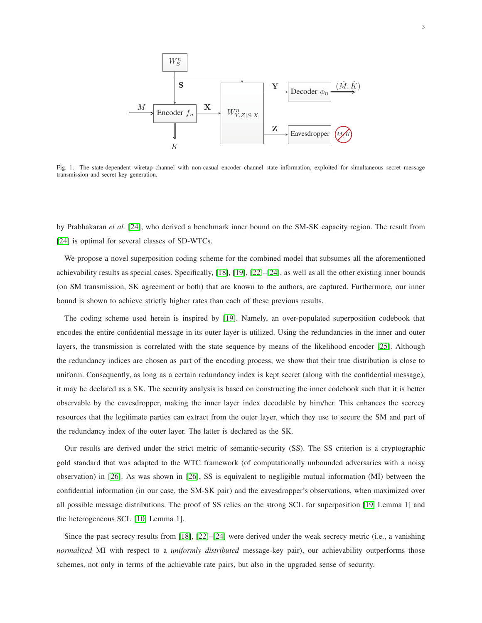

<span id="page-2-0"></span>Fig. 1. The state-dependent wiretap channel with non-casual encoder channel state information, exploited for simultaneous secret message transmission and secret key generation.

by Prabhakaran *et al.* [\[24\]](#page-33-20), who derived a benchmark inner bound on the SM-SK capacity region. The result from [\[24\]](#page-33-20) is optimal for several classes of SD-WTCs.

We propose a novel superposition coding scheme for the combined model that subsumes all the aforementioned achievability results as special cases. Specifically, [\[18\]](#page-33-14), [\[19\]](#page-33-15), [\[22\]](#page-33-16)–[\[24\]](#page-33-20), as well as all the other existing inner bounds (on SM transmission, SK agreement or both) that are known to the authors, are captured. Furthermore, our inner bound is shown to achieve strictly higher rates than each of these previous results.

The coding scheme used herein is inspired by [\[19\]](#page-33-15). Namely, an over-populated superposition codebook that encodes the entire confidential message in its outer layer is utilized. Using the redundancies in the inner and outer layers, the transmission is correlated with the state sequence by means of the likelihood encoder [\[25\]](#page-33-21). Although the redundancy indices are chosen as part of the encoding process, we show that their true distribution is close to uniform. Consequently, as long as a certain redundancy index is kept secret (along with the confidential message), it may be declared as a SK. The security analysis is based on constructing the inner codebook such that it is better observable by the eavesdropper, making the inner layer index decodable by him/her. This enhances the secrecy resources that the legitimate parties can extract from the outer layer, which they use to secure the SM and part of the redundancy index of the outer layer. The latter is declared as the SK.

Our results are derived under the strict metric of semantic-security (SS). The SS criterion is a cryptographic gold standard that was adapted to the WTC framework (of computationally unbounded adversaries with a noisy observation) in [\[26\]](#page-33-22). As was shown in [\[26\]](#page-33-22), SS is equivalent to negligible mutual information (MI) between the confidential information (in our case, the SM-SK pair) and the eavesdropper's observations, when maximized over all possible message distributions. The proof of SS relies on the strong SCL for superposition [\[19,](#page-33-15) Lemma 1] and the heterogeneous SCL [\[10,](#page-33-6) Lemma 1].

Since the past secrecy results from [\[18\]](#page-33-14), [\[22\]](#page-33-16)–[\[24\]](#page-33-20) were derived under the weak secrecy metric (i.e., a vanishing *normalized* MI with respect to a *uniformly distributed* message-key pair), our achievability outperforms those schemes, not only in terms of the achievable rate pairs, but also in the upgraded sense of security.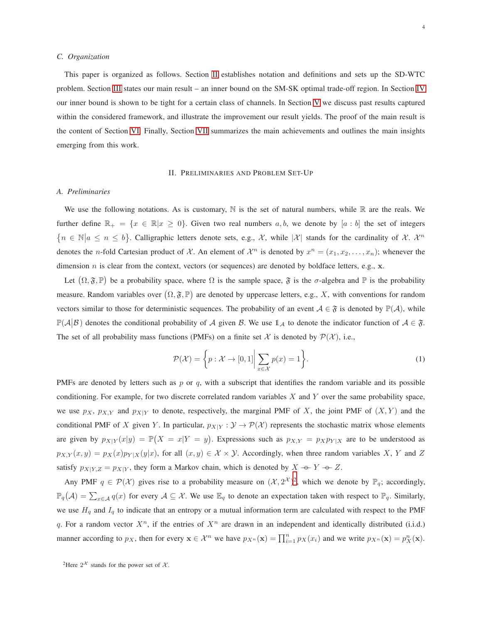#### *C. Organization*

This paper is organized as follows. Section [II](#page-3-0) establishes notation and definitions and sets up the SD-WTC problem. Section [III](#page-6-0) states our main result – an inner bound on the SM-SK optimal trade-off region. In Section [IV](#page-9-0) our inner bound is shown to be tight for a certain class of channels. In Section [V](#page-10-0) we discuss past results captured within the considered framework, and illustrate the improvement our result yields. The proof of the main result is the content of Section [VI.](#page-15-0) Finally, Section [VII](#page-22-0) summarizes the main achievements and outlines the main insights emerging from this work.

## II. PRELIMINARIES AND PROBLEM SET-UP

# <span id="page-3-0"></span>*A. Preliminaries*

We use the following notations. As is customary,  $\mathbb N$  is the set of natural numbers, while  $\mathbb R$  are the reals. We further define  $\mathbb{R}_+ = \{x \in \mathbb{R} | x \geq 0\}$ . Given two real numbers a, b, we denote by  $[a : b]$  the set of integers  $\{n \in \mathbb{N} | a \leq n \leq b\}$ . Calligraphic letters denote sets, e.g., X, while  $|\mathcal{X}|$  stands for the cardinality of X.  $\mathcal{X}^n$ denotes the *n*-fold Cartesian product of X. An element of  $\mathcal{X}^n$  is denoted by  $x^n = (x_1, x_2, \dots, x_n)$ ; whenever the dimension  $n$  is clear from the context, vectors (or sequences) are denoted by boldface letters, e.g.,  $x$ .

Let  $(\Omega, \mathfrak{F}, \mathbb{P})$  be a probability space, where  $\Omega$  is the sample space,  $\mathfrak{F}$  is the  $\sigma$ -algebra and  $\mathbb P$  is the probability measure. Random variables over  $(\Omega, \mathfrak{F}, \mathbb{P})$  are denoted by uppercase letters, e.g., X, with conventions for random vectors similar to those for deterministic sequences. The probability of an event  $A \in \mathfrak{F}$  is denoted by  $\mathbb{P}(\mathcal{A})$ , while  $\mathbb{P}(\mathcal{A}|\mathcal{B})$  denotes the conditional probability of A given B. We use  $\mathbb{1}_{\mathcal{A}}$  to denote the indicator function of  $\mathcal{A} \in \mathfrak{F}$ . The set of all probability mass functions (PMFs) on a finite set X is denoted by  $\mathcal{P}(\mathcal{X})$ , i.e.,

$$
\mathcal{P}(\mathcal{X}) = \left\{ p : \mathcal{X} \to [0,1] \middle| \sum_{x \in \mathcal{X}} p(x) = 1 \right\}.
$$
\n(1)

PMFs are denoted by letters such as  $p$  or  $q$ , with a subscript that identifies the random variable and its possible conditioning. For example, for two discrete correlated random variables  $X$  and  $Y$  over the same probability space, we use  $p_X$ ,  $p_{X,Y}$  and  $p_{X|Y}$  to denote, respectively, the marginal PMF of X, the joint PMF of  $(X, Y)$  and the conditional PMF of X given Y. In particular,  $p_{X|Y} : \mathcal{Y} \to \mathcal{P}(\mathcal{X})$  represents the stochastic matrix whose elements are given by  $p_{X|Y}(x|y) = \mathbb{P}(X = x|Y = y)$ . Expressions such as  $p_{X,Y} = p_X p_{Y|X}$  are to be understood as  $p_{X,Y}(x,y) = p_X(x)p_{Y|X}(y|x)$ , for all  $(x,y) \in \mathcal{X} \times \mathcal{Y}$ . Accordingly, when three random variables X, Y and Z satisfy  $p_{X|Y,Z} = p_{X|Y}$ , they form a Markov chain, which is denoted by  $X \rightarrow Y \rightarrow Z$ .

<span id="page-3-1"></span>Any PMF  $q \in \mathcal{P}(\mathcal{X})$  gives rise to a probability measure on  $(\mathcal{X}, 2^{\mathcal{X}})^2$  $(\mathcal{X}, 2^{\mathcal{X}})^2$  $(\mathcal{X}, 2^{\mathcal{X}})^2$ , which we denote by  $\mathbb{P}_q$ ; accordingly,  $\mathbb{P}_q(\mathcal{A}) = \sum_{x \in \mathcal{A}} q(x)$  for every  $\mathcal{A} \subseteq \mathcal{X}$ . We use  $\mathbb{E}_q$  to denote an expectation taken with respect to  $\mathbb{P}_q$ . Similarly, we use  $H_q$  and  $I_q$  to indicate that an entropy or a mutual information term are calculated with respect to the PMF q. For a random vector  $X^n$ , if the entries of  $X^n$  are drawn in an independent and identically distributed (i.i.d.) manner according to  $p_X$ , then for every  $\mathbf{x} \in \mathcal{X}^n$  we have  $p_{X^n}(\mathbf{x}) = \prod_{i=1}^n p_X(x_i)$  and we write  $p_{X^n}(\mathbf{x}) = p_X^n(\mathbf{x})$ .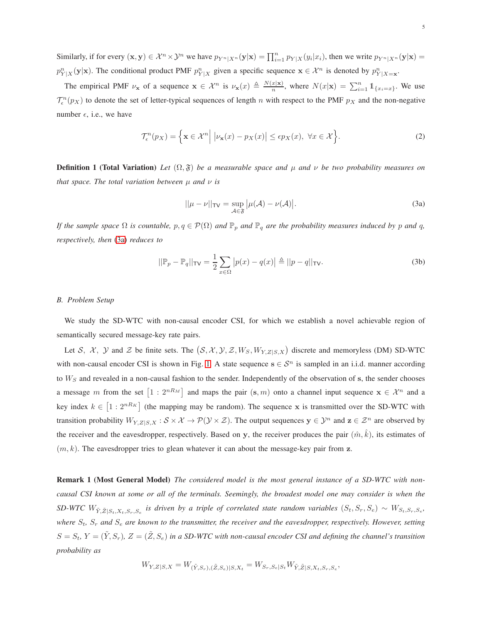Similarly, if for every  $(\mathbf{x}, \mathbf{y}) \in \mathcal{X}^n \times \mathcal{Y}^n$  we have  $p_{Y^n|X^n}(\mathbf{y}|\mathbf{x}) = \prod_{i=1}^n p_{Y|X}(y_i|x_i)$ , then we write  $p_{Y^n|X^n}(\mathbf{y}|\mathbf{x}) =$  $p_{Y|X}^n(\mathbf{y}|\mathbf{x})$ . The conditional product PMF  $p_{Y|X}^n$  given a specific sequence  $\mathbf{x} \in \mathcal{X}^n$  is denoted by  $p_{Y|X=\mathbf{x}}^n$ .

The empirical PMF  $\nu_x$  of a sequence  $\mathbf{x} \in \mathcal{X}^n$  is  $\nu_x(x) \triangleq \frac{N(x|\mathbf{x})}{n}$  $\frac{x|\mathbf{x}|}{n}$ , where  $N(x|\mathbf{x}) = \sum_{i=1}^{n} \mathbb{1}_{\{x_i = x\}}$ . We use  $\mathcal{T}_{\epsilon}^n(p_X)$  to denote the set of letter-typical sequences of length n with respect to the PMF  $p_X$  and the non-negative number  $\epsilon$ , i.e., we have

$$
\mathcal{T}_{\epsilon}^{n}(p_{X}) = \left\{ \mathbf{x} \in \mathcal{X}^{n} \middle| \left| \nu_{\mathbf{x}}(x) - p_{X}(x) \right| \leq \epsilon p_{X}(x), \ \forall x \in \mathcal{X} \right\}.
$$
 (2)

**Definition 1 (Total Variation)** Let  $(\Omega, \mathfrak{F})$  be a measurable space and  $\mu$  and  $\nu$  be two probability measures on *that space. The total variation between* µ *and* ν *is*

<span id="page-4-0"></span>
$$
||\mu - \nu||_{\text{TV}} = \sup_{\mathcal{A} \in \mathfrak{F}} |\mu(\mathcal{A}) - \nu(\mathcal{A})|.
$$
 (3a)

*If the sample space*  $\Omega$  *is countable,*  $p, q \in \mathcal{P}(\Omega)$  *and*  $\mathbb{P}_p$  *and*  $\mathbb{P}_q$  *are the probability measures induced by* p *and* q, *respectively, then* [\(3a\)](#page-4-0) *reduces to*

$$
||\mathbb{P}_p - \mathbb{P}_q||_{\mathsf{TV}} = \frac{1}{2} \sum_{x \in \Omega} |p(x) - q(x)| \triangleq ||p - q||_{\mathsf{TV}}.
$$
 (3b)

#### *B. Problem Setup*

We study the SD-WTC with non-causal encoder CSI, for which we establish a novel achievable region of semantically secured message-key rate pairs.

Let S, X, Y and Z be finite sets. The  $(S, \mathcal{X}, \mathcal{Y}, \mathcal{Z}, W_S, W_{Y, Z|S, X})$  discrete and memoryless (DM) SD-WTC with non-causal encoder CSI is shown in Fig. [1.](#page-2-0) A state sequence  $s \in S^n$  is sampled in an i.i.d. manner according to  $W<sub>S</sub>$  and revealed in a non-causal fashion to the sender. Independently of the observation of s, the sender chooses a message m from the set  $[1:2^{nR_M}]$  and maps the pair  $(s,m)$  onto a channel input sequence  $x \in \mathcal{X}^n$  and a key index  $k \in [1:2^{nR_K}]$  (the mapping may be random). The sequence x is transmitted over the SD-WTC with transition probability  $W_{Y,Z|S,X}: \mathcal{S} \times \mathcal{X} \to \mathcal{P}(\mathcal{Y} \times \mathcal{Z})$ . The output sequences  $y \in \mathcal{Y}^n$  and  $z \in \mathcal{Z}^n$  are observed by the receiver and the eavesdropper, respectively. Based on y, the receiver produces the pair  $(\hat{m}, \hat{k})$ , its estimates of  $(m, k)$ . The eavesdropper tries to glean whatever it can about the message-key pair from z.

<span id="page-4-1"></span>Remark 1 (Most General Model) *The considered model is the most general instance of a SD-WTC with noncausal CSI known at some or all of the terminals. Seemingly, the broadest model one may consider is when the*  $SD-WTC$   $W_{\tilde{Y}, \tilde{Z}|S_t, X_t, S_r, S_e}$  is driven by a triple of correlated state random variables  $(S_t, S_r, S_e) \sim W_{S_t, S_r, S_e}$ , *where*  $S_t$ ,  $S_r$  and  $S_e$  are known to the transmitter, the receiver and the eavesdropper, respectively. However, setting  $S=S_t$ ,  $Y=(\tilde{Y},S_r)$ ,  $Z=(\tilde{Z},S_e)$  in a SD-WTC with non-causal encoder CSI and defining the channel's transition *probability as*

$$
W_{Y,Z|S,X} = W_{(\tilde{Y},S_r),(\tilde{Z},S_e)|S,X_t} = W_{S_r,S_e|S_t} W_{\tilde{Y},\tilde{Z}|S,X_t,S_r,S_e},
$$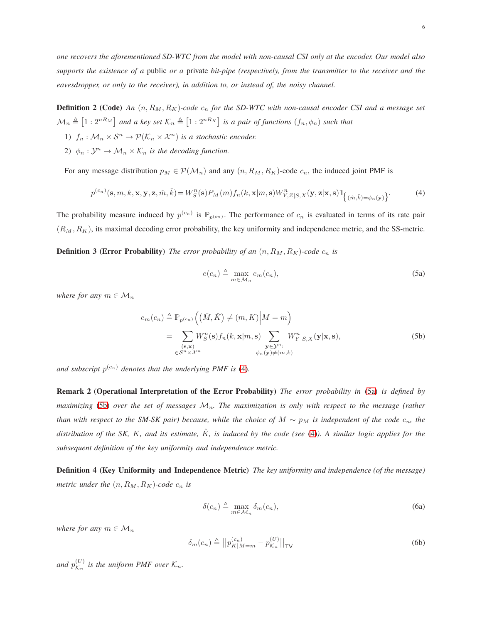*one recovers the aforementioned SD-WTC from the model with non-causal CSI only at the encoder. Our model also supports the existence of a* public *or a* private *bit-pipe (respectively, from the transmitter to the receiver and the eavesdropper, or only to the receiver), in addition to, or instead of, the noisy channel.*

**Definition 2 (Code)** An  $(n, R_M, R_K)$ -code  $c_n$  for the SD-WTC with non-causal encoder CSI and a message set  $\mathcal{M}_n \triangleq [1:2^{nR_M}]$  and a key set  $\mathcal{K}_n \triangleq [1:2^{nR_K}]$  is a pair of functions  $(f_n, \phi_n)$  such that

- 1)  $f_n : \mathcal{M}_n \times \mathcal{S}^n \to \mathcal{P}(\mathcal{K}_n \times \mathcal{X}^n)$  *is a stochastic encoder.*
- 2)  $\phi_n : \mathcal{Y}^n \to \mathcal{M}_n \times \mathcal{K}_n$  *is the decoding function.*

For any message distribution  $p_M \in \mathcal{P}(\mathcal{M}_n)$  and any  $(n, R_M, R_K)$ -code  $c_n$ , the induced joint PMF is

<span id="page-5-0"></span>
$$
p^{(c_n)}(\mathbf{s}, m, k, \mathbf{x}, \mathbf{y}, \mathbf{z}, \hat{m}, \hat{k}) = W_S^n(\mathbf{s}) P_M(m) f_n(k, \mathbf{x}|m, \mathbf{s}) W_{Y, Z|S, X}^n(\mathbf{y}, \mathbf{z}|\mathbf{x}, \mathbf{s}) \mathbb{1}_{\{(\hat{m}, \hat{k}) = \phi_n(\mathbf{y})\}}.
$$
 (4)

The probability measure induced by  $p^{(c_n)}$  is  $\mathbb{P}_{p^{(c_n)}}$ . The performance of  $c_n$  is evaluated in terms of its rate pair  $(R_M, R_K)$ , its maximal decoding error probability, the key uniformity and independence metric, and the SS-metric.

**Definition 3 (Error Probability)** *The error probability of an*  $(n, R_M, R_K)$ *-code*  $c_n$  *is* 

<span id="page-5-2"></span><span id="page-5-1"></span>
$$
e(c_n) \triangleq \max_{m \in \mathcal{M}_n} e_m(c_n),\tag{5a}
$$

*where for any*  $m \in \mathcal{M}_n$ 

$$
e_m(c_n) \triangleq \mathbb{P}_{p^{(c_n)}}\left((\hat{M}, \hat{K}) \neq (m, K)\middle|M = m\right)
$$
  
= 
$$
\sum_{\substack{(\mathbf{s}, \mathbf{x}) \\ \in \mathcal{S}^n \times \mathcal{X}^n}} W_S^n(\mathbf{s}) f_n(k, \mathbf{x}|m, \mathbf{s}) \sum_{\substack{\mathbf{y} \in \mathcal{Y}^n:\\ \phi_n(\mathbf{y}) \neq (m, k)}} W_{Y|S, X}^n(\mathbf{y}|\mathbf{x}, \mathbf{s}),
$$
 (5b)

and subscript  $p^{(c_n)}$  denotes that the underlying PMF is [\(4\)](#page-5-0).

Remark 2 (Operational Interpretation of the Error Probability) *The error probability in* [\(5a\)](#page-5-1) *is defined by maximizing* [\(5b\)](#page-5-2) *over the set of messages*  $M_n$ . The maximization is only with respect to the message (rather *than with respect to the SM-SK pair) because, while the choice of*  $M \sim p_M$  *is independent of the code*  $c_n$ *, the distribution of the SK,* K*, and its estimate,* Kˆ *, is induced by the code (see* [\(4\)](#page-5-0)*). A similar logic applies for the subsequent definition of the key uniformity and independence metric.*

Definition 4 (Key Uniformity and Independence Metric) *The key uniformity and independence (of the message) metric under the*  $(n, R_M, R_K)$ *-code*  $c_n$  *is* 

$$
\delta(c_n) \triangleq \max_{m \in \mathcal{M}_n} \delta_m(c_n),\tag{6a}
$$

*where for any*  $m \in \mathcal{M}_n$ 

$$
\delta_m(c_n) \triangleq ||p_{K|M=m}^{(c_n)} - p_{K_n}^{(U)}||_{\mathsf{TV}}
$$
\n(6b)

*and*  $p_{K_n}^{(U)}$  $\mathcal{L}_{\mathcal{K}_n}^{(C)}$  is the uniform PMF over  $\mathcal{K}_n$ .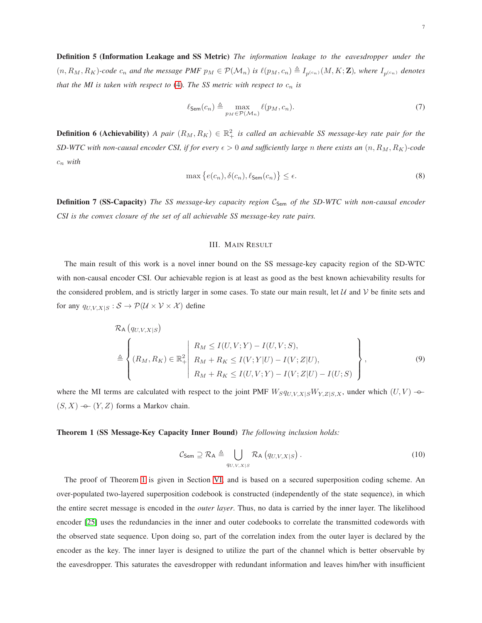Definition 5 (Information Leakage and SS Metric) *The information leakage to the eavesdropper under the*  $(n, R_M, R_K)$ -code  $c_n$  and the message PMF  $p_M \in \mathcal{P}(\mathcal{M}_n)$  is  $\ell(p_M, c_n) \triangleq I_{p^{(c_n)}}(M, K; \mathbf{Z})$ , where  $I_{p^{(c_n)}}$  denotes *that the MI is taken with respect to* [\(4\)](#page-5-0). The SS metric with respect to  $c_n$  is

$$
\ell_{\mathsf{Sem}}(c_n) \triangleq \max_{p_M \in \mathcal{P}(\mathcal{M}_n)} \ell(p_M, c_n). \tag{7}
$$

**Definition 6 (Achievability)** *A pair*  $(R_M, R_K) \in \mathbb{R}^2_+$  *is called an achievable SS message-key rate pair for the SD-WTC with non-causal encoder CSI, if for every*  $\epsilon > 0$  *and sufficiently large n there exists an*  $(n, R_M, R_K)$ *-code*  $c_n$  with

<span id="page-6-4"></span>
$$
\max \left\{ e(c_n), \delta(c_n), \ell_{\text{Sem}}(c_n) \right\} \le \epsilon. \tag{8}
$$

<span id="page-6-0"></span>**Definition 7 (SS-Capacity)** *The SS message-key capacity region*  $C_{Sem}$  *of the SD-WTC with non-causal encoder CSI is the convex closure of the set of all achievable SS message-key rate pairs.*

#### <span id="page-6-3"></span>III. MAIN RESULT

The main result of this work is a novel inner bound on the SS message-key capacity region of the SD-WTC with non-causal encoder CSI. Our achievable region is at least as good as the best known achievability results for the considered problem, and is strictly larger in some cases. To state our main result, let  $U$  and  $V$  be finite sets and for any  $q_{U,V,X|S}: \mathcal{S} \to \mathcal{P}(\mathcal{U} \times \mathcal{V} \times \mathcal{X})$  define

$$
\mathcal{R}_{A}(q_{U,V,X|S})
$$
\n
$$
\triangleq \left\{ (R_{M}, R_{K}) \in \mathbb{R}^{2} \middle| \begin{array}{l} R_{M} \leq I(U,V;Y) - I(U,V;S), \\ R_{M} + R_{K} \leq I(V;Y|U) - I(V;Z|U), \\ R_{M} + R_{K} \leq I(U,V;Y) - I(V;Z|U) - I(U;S) \end{array} \right\},
$$
\n(9)

<span id="page-6-1"></span>where the MI terms are calculated with respect to the joint PMF  $W_S q_{U,V,X|S} W_{Y,Z|S,X}$ , under which  $(U, V) \rightarrow$  $(S, X) \rightarrow (Y, Z)$  forms a Markov chain.

# Theorem 1 (SS Message-Key Capacity Inner Bound) *The following inclusion holds:*

<span id="page-6-2"></span>
$$
\mathcal{C}_{\text{Sem}} \supseteq \mathcal{R}_{\text{A}} \triangleq \bigcup_{q_{U,V,X|S}} \mathcal{R}_{\text{A}}\left(q_{U,V,X|S}\right). \tag{10}
$$

The proof of Theorem [1](#page-6-1) is given in Section [VI,](#page-15-0) and is based on a secured superposition coding scheme. An over-populated two-layered superposition codebook is constructed (independently of the state sequence), in which the entire secret message is encoded in the *outer layer*. Thus, no data is carried by the inner layer. The likelihood encoder [\[25\]](#page-33-21) uses the redundancies in the inner and outer codebooks to correlate the transmitted codewords with the observed state sequence. Upon doing so, part of the correlation index from the outer layer is declared by the encoder as the key. The inner layer is designed to utilize the part of the channel which is better observable by the eavesdropper. This saturates the eavesdropper with redundant information and leaves him/her with insufficient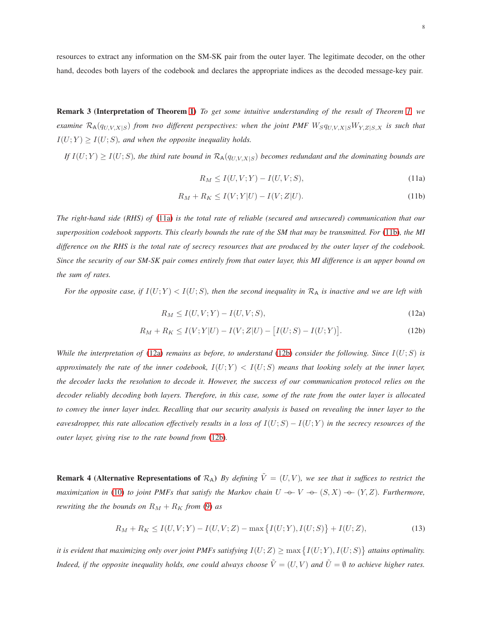<span id="page-7-4"></span>resources to extract any information on the SM-SK pair from the outer layer. The legitimate decoder, on the other hand, decodes both layers of the codebook and declares the appropriate indices as the decoded message-key pair.

Remark 3 (Interpretation of Theorem [1\)](#page-6-1) *To get some intuitive understanding of the result of Theorem [1,](#page-6-1) we examine*  $R_A(q_{U,V,X|S})$  *from two different perspectives: when the joint PMF*  $W_S q_{U,V,X|S} W_{Y,Z|S,X}$  *is such that*  $I(U;Y) \geq I(U;S)$ , and when the opposite inequality holds.

*If*  $I(U;Y) \ge I(U;S)$ *, the third rate bound in*  $\mathcal{R}_A(q_{U,V,X|S})$  *becomes redundant and the dominating bounds are* 

<span id="page-7-2"></span><span id="page-7-1"></span><span id="page-7-0"></span>
$$
R_M \le I(U, V; Y) - I(U, V; S),\tag{11a}
$$

$$
R_M + R_K \le I(V;Y|U) - I(V;Z|U).
$$
\n(11b)

*The right-hand side (RHS) of* [\(11a\)](#page-7-0) *is the total rate of reliable (secured and unsecured) communication that our superposition codebook supports. This clearly bounds the rate of the SM that may be transmitted. For* [\(11b\)](#page-7-1)*, the MI difference on the RHS is the total rate of secrecy resources that are produced by the outer layer of the codebook. Since the security of our SM-SK pair comes entirely from that outer layer, this MI difference is an upper bound on the sum of rates.*

*For the opposite case, if*  $I(U;Y) < I(U;S)$ *, then the second inequality in*  $\mathcal{R}_A$  *is inactive and we are left with* 

<span id="page-7-3"></span>
$$
R_M \le I(U, V; Y) - I(U, V; S),\tag{12a}
$$

$$
R_M + R_K \le I(V;Y|U) - I(V;Z|U) - [I(U;S) - I(U;Y)].
$$
\n(12b)

*While the interpretation of* [\(12a\)](#page-7-2) *remains as before, to understand* [\(12b\)](#page-7-3) *consider the following. Since*  $I(U;S)$  *is* approximately the rate of the inner codebook,  $I(U;Y) < I(U;S)$  means that looking solely at the inner layer, *the decoder lacks the resolution to decode it. However, the success of our communication protocol relies on the decoder reliably decoding both layers. Therefore, in this case, some of the rate from the outer layer is allocated to convey the inner layer index. Recalling that our security analysis is based on revealing the inner layer to the eavesdropper, this rate allocation effectively results in a loss of*  $I(U;S) - I(U;Y)$  *in the secrecy resources of the outer layer, giving rise to the rate bound from* [\(12b\)](#page-7-3)*.*

**Remark 4 (Alternative Representations of**  $\mathcal{R}_A$ ) *By defining*  $\tilde{V} = (U, V)$ *, we see that it suffices to restrict the*  $maximization$  in [\(10\)](#page-6-2) *to joint PMFs that satisfy the Markov chain*  $U \rightarrow V \rightarrow (S, X) \rightarrow (Y, Z)$ *. Furthermore, rewriting the the bounds on*  $R_M + R_K$  *from* [\(9\)](#page-6-3) *as* 

$$
R_M + R_K \le I(U, V; Y) - I(U, V; Z) - \max\{I(U; Y), I(U; S)\} + I(U; Z),\tag{13}
$$

*it is evident that maximizing only over joint PMFs satisfying*  $I(U;Z) \ge \max\{I(U;Y), I(U;S)\}$  *attains optimality. Indeed, if the opposite inequality holds, one could always choose*  $\tilde{V} = (U, V)$  *and*  $\tilde{U} = \emptyset$  *to achieve higher rates.*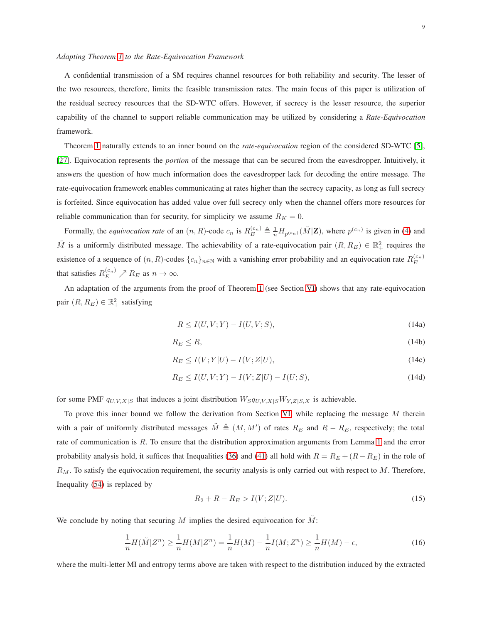#### *Adapting Theorem [1](#page-6-1) to the Rate-Equivocation Framework*

A confidential transmission of a SM requires channel resources for both reliability and security. The lesser of the two resources, therefore, limits the feasible transmission rates. The main focus of this paper is utilization of the residual secrecy resources that the SD-WTC offers. However, if secrecy is the lesser resource, the superior capability of the channel to support reliable communication may be utilized by considering a *Rate-Equivocation* framework.

Theorem [1](#page-6-1) naturally extends to an inner bound on the *rate-equivocation* region of the considered SD-WTC [\[5\]](#page-33-3), [\[27\]](#page-33-23). Equivocation represents the *portion* of the message that can be secured from the eavesdropper. Intuitively, it answers the question of how much information does the eavesdropper lack for decoding the entire message. The rate-equivocation framework enables communicating at rates higher than the secrecy capacity, as long as full secrecy is forfeited. Since equivocation has added value over full secrecy only when the channel offers more resources for reliable communication than for security, for simplicity we assume  $R_K = 0$ .

Formally, the *equivocation rate* of an  $(n, R)$ -code  $c_n$  is  $R_E^{(c_n)} \triangleq \frac{1}{n} H_{p^{(c_n)}}(\tilde{M}|\mathbf{Z})$ , where  $p^{(c_n)}$  is given in [\(4\)](#page-5-0) and  $\tilde{M}$  is a uniformly distributed message. The achievability of a rate-equivocation pair  $(R, R_E) \in \mathbb{R}^2_+$  requires the existence of a sequence of  $(n, R)$ -codes  $\{c_n\}_{n \in \mathbb{N}}$  with a vanishing error probability and an equivocation rate  $R_E^{(c_n)}$ that satisfies  $R_E^{(c_n)} \nearrow R_E$  as  $n \to \infty$ .

An adaptation of the arguments from the proof of Theorem [1](#page-6-1) (see Section [VI\)](#page-15-0) shows that any rate-equivocation pair  $(R, R_E) \in \mathbb{R}^2_+$  satisfying

<span id="page-8-0"></span>
$$
R \le I(U, V; Y) - I(U, V; S),\tag{14a}
$$

$$
R_E \le R,\tag{14b}
$$

$$
R_E \le I(V;Y|U) - I(V;Z|U),\tag{14c}
$$

$$
R_E \le I(U, V; Y) - I(V; Z|U) - I(U; S),\tag{14d}
$$

for some PMF  $q_{U,V,X|S}$  that induces a joint distribution  $W_S q_{U,V,X|S} W_{Y,Z|S,X}$  is achievable.

To prove this inner bound we follow the derivation from Section [VI,](#page-15-0) while replacing the message  $M$  therein with a pair of uniformly distributed messages  $\tilde{M} \triangleq (M, M')$  of rates  $R_E$  and  $R - R_E$ , respectively; the total rate of communication is R. To ensure that the distribution approximation arguments from Lemma [1](#page-17-0) and the error probability analysis hold, it suffices that Inequalities [\(36\)](#page-17-1) and [\(41\)](#page-18-0) all hold with  $R = R_E + (R - R_E)$  in the role of  $R_M$ . To satisfy the equivocation requirement, the security analysis is only carried out with respect to M. Therefore, Inequality [\(54\)](#page-21-0) is replaced by

$$
R_2 + R - R_E > I(V; Z|U).
$$
\n(15)

We conclude by noting that securing M implies the desired equivocation for  $\tilde{M}$ :

$$
\frac{1}{n}H(\tilde{M}|Z^n) \ge \frac{1}{n}H(M|Z^n) = \frac{1}{n}H(M) - \frac{1}{n}I(M;Z^n) \ge \frac{1}{n}H(M) - \epsilon,
$$
\n(16)

where the multi-letter MI and entropy terms above are taken with respect to the distribution induced by the extracted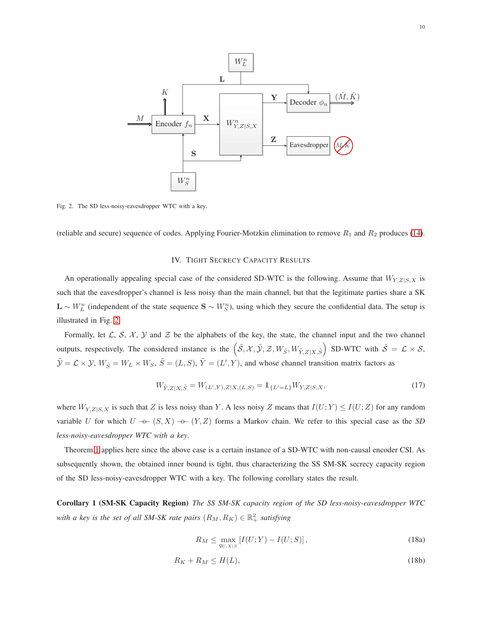

<span id="page-9-1"></span>Fig. 2. The SD less-noisy-eavesdropper WTC with a key.

<span id="page-9-0"></span>(reliable and secure) sequence of codes. Applying Fourier-Motzkin elimination to remove  $R_1$  and  $R_2$  produces [\(14\)](#page-8-0).

# IV. TIGHT SECRECY CAPACITY RESULTS

An operationally appealing special case of the considered SD-WTC is the following. Assume that  $W_{Y,Z|S,X}$  is such that the eavesdropper's channel is less noisy than the main channel, but that the legitimate parties share a SK  $\mathbf{L} \sim W_L^n$  (independent of the state sequence  $\mathbf{S} \sim W_S^n$ ), using which they secure the confidential data. The setup is illustrated in Fig. [2.](#page-9-1)

Formally, let  $\mathcal{L}, \mathcal{S}, \mathcal{X}, \mathcal{Y}$  and  $\mathcal{Z}$  be the alphabets of the key, the state, the channel input and the two channel outputs, respectively. The considered instance is the  $(\tilde{\mathcal{S}}, \mathcal{X}, \tilde{\mathcal{Y}}, \mathcal{Z}, W_{\tilde{\mathcal{S}}}, W_{\tilde{Y}, Z|X, \tilde{\mathcal{S}}})$  SD-WTC with  $\tilde{\mathcal{S}} = \mathcal{L} \times \mathcal{S}$ ,  $\tilde{\mathcal{Y}} = \mathcal{L} \times \mathcal{Y}$ ,  $W_{\tilde{S}} = W_L \times W_S$ ,  $\tilde{S} = (L, S)$ ,  $\tilde{Y} = (L', Y)$ , and whose channel transition matrix factors as

<span id="page-9-5"></span>
$$
W_{\tilde{Y},Z|X,\tilde{S}} = W_{(L',Y),Z|X,(L,S)} = 1_{\{L'=L\}} W_{Y,Z|S,X},\tag{17}
$$

where  $W_{Y,Z|S,X}$  is such that Z is less noisy than Y. A less noisy Z means that  $I(U;Y) \leq I(U;Z)$  for any random variable U for which  $U \to (S, X) \to (Y, Z)$  forms a Markov chain. We refer to this special case as the *SD less-noisy-eavesdropper WTC with a key*.

<span id="page-9-3"></span>Theorem [1](#page-6-1) applies here since the above case is a certain instance of a SD-WTC with non-causal encoder CSI. As subsequently shown, the obtained inner bound is tight, thus characterizing the SS SM-SK secrecy capacity region of the SD less-noisy-eavesdropper WTC with a key. The following corollary states the result.

Corollary 1 (SM-SK Capacity Region) *The SS SM-SK capacity region of the SD less-noisy-eavesdropper WTC with a key is the set of all SM-SK rate pairs*  $(R_M, R_K) \in \mathbb{R}_+^2$  *satisfying* 

<span id="page-9-4"></span><span id="page-9-2"></span>
$$
R_M \le \max_{q_{U,X|S}} \left[ I(U;Y) - I(U;S) \right],\tag{18a}
$$

$$
R_K + R_M \le H(L),\tag{18b}
$$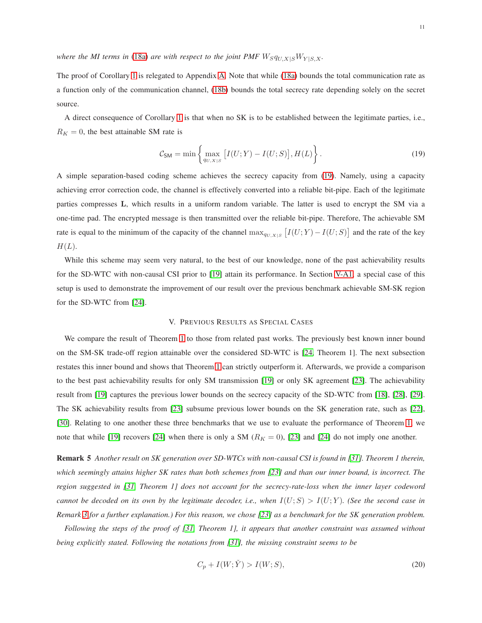# *where the MI terms in* [\(18a\)](#page-9-2) *are with respect to the joint PMF*  $W_S q_{U,X|S} W_{Y|S,X}$ .

The proof of Corollary [1](#page-9-3) is relegated to Appendix [A.](#page-22-1) Note that while [\(18a\)](#page-9-2) bounds the total communication rate as a function only of the communication channel, [\(18b\)](#page-9-4) bounds the total secrecy rate depending solely on the secret source.

A direct consequence of Corollary [1](#page-9-3) is that when no SK is to be established between the legitimate parties, i.e.,  $R_K = 0$ , the best attainable SM rate is

<span id="page-10-1"></span>
$$
C_{\text{SM}} = \min\left\{\max_{q_{U,X|S}} \left[I(U;Y) - I(U;S)\right], H(L)\right\}.
$$
\n(19)

A simple separation-based coding scheme achieves the secrecy capacity from [\(19\)](#page-10-1). Namely, using a capacity achieving error correction code, the channel is effectively converted into a reliable bit-pipe. Each of the legitimate parties compresses L, which results in a uniform random variable. The latter is used to encrypt the SM via a one-time pad. The encrypted message is then transmitted over the reliable bit-pipe. Therefore, The achievable SM rate is equal to the minimum of the capacity of the channel  $\max_{q_{U,X|S}} [I(U;Y) - I(U;S)]$  and the rate of the key  $H(L)$ .

While this scheme may seem very natural, to the best of our knowledge, none of the past achievability results for the SD-WTC with non-causal CSI prior to [\[19\]](#page-33-15) attain its performance. In Section [V-A1,](#page-12-0) a special case of this setup is used to demonstrate the improvement of our result over the previous benchmark achievable SM-SK region for the SD-WTC from [\[24\]](#page-33-20).

## V. PREVIOUS RESULTS AS SPECIAL CASES

<span id="page-10-0"></span>We compare the result of Theorem [1](#page-6-1) to those from related past works. The previously best known inner bound on the SM-SK trade-off region attainable over the considered SD-WTC is [\[24,](#page-33-20) Theorem 1]. The next subsection restates this inner bound and shows that Theorem [1](#page-6-1) can strictly outperform it. Afterwards, we provide a comparison to the best past achievability results for only SM transmission [\[19\]](#page-33-15) or only SK agreement [\[23\]](#page-33-17). The achievability result from [\[19\]](#page-33-15) captures the previous lower bounds on the secrecy capacity of the SD-WTC from [\[18\]](#page-33-14), [\[28\]](#page-33-24), [\[29\]](#page-34-0). The SK achievability results from [\[23\]](#page-33-17) subsume previous lower bounds on the SK generation rate, such as [\[22\]](#page-33-16), [\[30\]](#page-34-1). Relating to one another these three benchmarks that we use to evaluate the performance of Theorem [1,](#page-6-1) we note that while [\[19\]](#page-33-15) recovers [\[24\]](#page-33-20) when there is only a SM  $(R_K = 0)$ , [\[23\]](#page-33-17) and [\[24\]](#page-33-20) do not imply one another.

Remark 5 Another result on SK generation over SD-WTCs with non-causal CSI is found in [\[31\]](#page-34-2). Theorem 1 therein, *which seemingly attains higher SK rates than both schemes from [\[23\]](#page-33-17) and than our inner bound, is incorrect. The region suggested in [\[31,](#page-34-2) Theorem 1] does not account for the secrecy-rate-loss when the inner layer codeword cannot be decoded on its own by the legitimate decoder, i.e., when*  $I(U;S) > I(U;Y)$ *. (See the second case in Remark [3](#page-7-4) for a further explanation.) For this reason, we chose [\[23\]](#page-33-17) as a benchmark for the SK generation problem.*

*Following the steps of the proof of [\[31,](#page-34-2) Theorem 1], it appears that another constraint was assumed without being explicitly stated. Following the notations from [\[31\]](#page-34-2), the missing constraint seems to be*

$$
C_p + I(W; \check{Y}) > I(W; S),\tag{20}
$$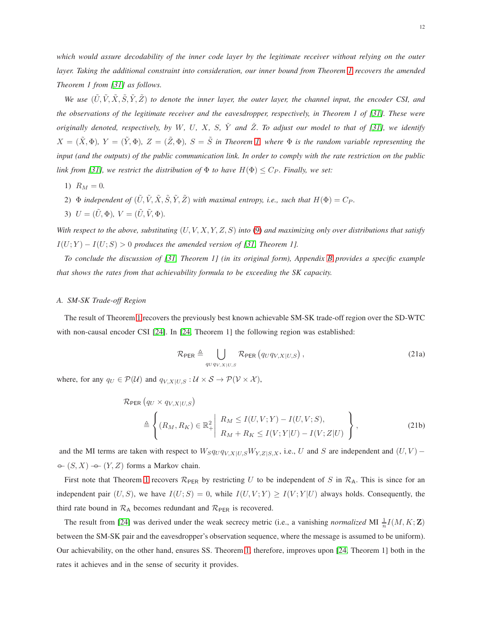*which would assure decodability of the inner code layer by the legitimate receiver without relying on the outer layer. Taking the additional constraint into consideration, our inner bound from Theorem [1](#page-6-1) recovers the amended Theorem 1 from [\[31\]](#page-34-2) as follows.*

*We use*  $(\tilde{U}, \tilde{V}, \tilde{X}, \tilde{S}, \tilde{Y}, \tilde{Z})$  to denote the inner layer, the outer layer, the channel input, the encoder CSI, and *the observations of the legitimate receiver and the eavesdropper, respectively, in Theorem 1 of [\[31\]](#page-34-2). These were originally denoted, respectively, by* W*,* U*,* X*,* S*,* Yˇ *and* Zˇ*. To adjust our model to that of [\[31\]](#page-34-2), we identify*  $X = (\tilde{X}, \Phi)$ ,  $Y = (\tilde{Y}, \Phi)$ ,  $Z = (\tilde{Z}, \Phi)$ ,  $S = \tilde{S}$  *in Theorem [1,](#page-6-1) where*  $\Phi$  *is the random variable representing the input (and the outputs) of the public communication link. In order to comply with the rate restriction on the public link from [\[31\]](#page-34-2), we restrict the distribution of*  $\Phi$  *to have*  $H(\Phi) \leq C_P$ *. Finally, we set:* 

- 1)  $R_M = 0$ .
- 2)  $\Phi$  *independent of*  $(\tilde{U}, \tilde{V}, \tilde{X}, \tilde{S}, \tilde{Y}, \tilde{Z})$  *with maximal entropy, i.e., such that*  $H(\Phi) = C_P$ *.*
- 3)  $U = (\tilde{U}, \Phi)$ ,  $V = (\tilde{U}, \tilde{V}, \Phi)$ .

*With respect to the above, substituting* (U, V, X, Y, Z, S) *into* [\(9\)](#page-6-3) *and maximizing only over distributions that satisfy*  $I(U;Y) - I(U;S) > 0$  produces the amended version of [\[31,](#page-34-2) Theorem 1].

*To conclude the discussion of [\[31,](#page-34-2) Theorem 1] (in its original form), Appendix [B](#page-24-0) provides a specific example that shows the rates from that achievability formula to be exceeding the SK capacity.*

#### *A. SM-SK Trade-off Region*

The result of Theorem [1](#page-6-1) recovers the previously best known achievable SM-SK trade-off region over the SD-WTC with non-causal encoder CSI [\[24\]](#page-33-20). In [\[24,](#page-33-20) Theorem 1] the following region was established:

<span id="page-11-1"></span><span id="page-11-0"></span>
$$
\mathcal{R}_{\text{PER}} \triangleq \bigcup_{q_U q_{V,X|U,S}} \mathcal{R}_{\text{PER}}\left(q_U q_{V,X|U,S}\right),\tag{21a}
$$

where, for any  $q_U \in \mathcal{P}(\mathcal{U})$  and  $q_{V,X|U,S} : \mathcal{U} \times \mathcal{S} \to \mathcal{P}(\mathcal{V} \times \mathcal{X})$ ,

$$
\mathcal{R}_{\text{PER}}\left(q_{U} \times q_{V,X|U,S}\right)
$$
\n
$$
\triangleq \left\{ \left(R_{M}, R_{K}\right) \in \mathbb{R}_{+}^{2} \middle| \begin{array}{c} R_{M} \leq I(U,V;Y) - I(U,V;S), \\ R_{M} + R_{K} \leq I(V;Y|U) - I(V;Z|U) \end{array} \right\},\tag{21b}
$$

and the MI terms are taken with respect to  $W_S q_U q_{V,X|U,S} W_{Y,Z|S,X}$ , i.e., U and S are independent and  $(U, V)$  –  $\phi$  (S, X)  $\rightarrow$  (Y, Z) forms a Markov chain.

First note that Theorem [1](#page-6-1) recovers  $\mathcal{R}_{PER}$  by restricting U to be independent of S in  $\mathcal{R}_{A}$ . This is since for an independent pair  $(U, S)$ , we have  $I(U; S) = 0$ , while  $I(U, V; Y) \ge I(V; Y | U)$  always holds. Consequently, the third rate bound in  $\mathcal{R}_A$  becomes redundant and  $\mathcal{R}_{PER}$  is recovered.

The result from [\[24\]](#page-33-20) was derived under the weak secrecy metric (i.e., a vanishing *normalized* MI  $\frac{1}{n}I(M, K; \mathbf{Z})$ between the SM-SK pair and the eavesdropper's observation sequence, where the message is assumed to be uniform). Our achievability, on the other hand, ensures SS. Theorem [1,](#page-6-1) therefore, improves upon [\[24,](#page-33-20) Theorem 1] both in the rates it achieves and in the sense of security it provides.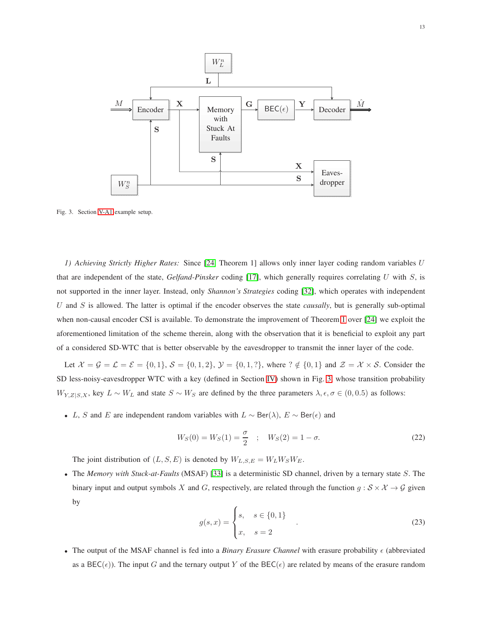

<span id="page-12-1"></span>Fig. 3. Section [V-A1](#page-12-0) example setup.

<span id="page-12-0"></span>*1) Achieving Strictly Higher Rates:* Since [\[24,](#page-33-20) Theorem 1] allows only inner layer coding random variables U that are independent of the state, *Gelfand-Pinsker* coding [\[17\]](#page-33-13), which generally requires correlating U with S, is not supported in the inner layer. Instead, only *Shannon's Strategies* coding [\[32\]](#page-34-3), which operates with independent U and S is allowed. The latter is optimal if the encoder observes the state *causally*, but is generally sub-optimal when non-causal encoder CSI is available. To demonstrate the improvement of Theorem [1](#page-6-1) over [\[24\]](#page-33-20) we exploit the aforementioned limitation of the scheme therein, along with the observation that it is beneficial to exploit any part of a considered SD-WTC that is better observable by the eavesdropper to transmit the inner layer of the code.

Let  $\mathcal{X} = \mathcal{G} = \mathcal{L} = \mathcal{E} = \{0, 1\}, \mathcal{S} = \{0, 1, 2\}, \mathcal{Y} = \{0, 1, ?\}$ , where  $? \notin \{0, 1\}$  and  $\mathcal{Z} = \mathcal{X} \times \mathcal{S}$ . Consider the SD less-noisy-eavesdropper WTC with a key (defined in Section [IV\)](#page-9-0) shown in Fig. [3,](#page-12-1) whose transition probability  $W_{Y,Z|S,X}$ , key  $L \sim W_L$  and state  $S \sim W_S$  are defined by the three parameters  $\lambda, \epsilon, \sigma \in (0, 0.5)$  as follows:

• L, S and E are independent random variables with  $L \sim \text{Ber}(\lambda)$ ,  $E \sim \text{Ber}(\epsilon)$  and

$$
W_S(0) = W_S(1) = \frac{\sigma}{2} \quad ; \quad W_S(2) = 1 - \sigma. \tag{22}
$$

The joint distribution of  $(L, S, E)$  is denoted by  $W_{L, S, E} = W_L W_S W_E$ .

• The *Memory with Stuck-at-Faults* (MSAF) [\[33\]](#page-34-4) is a deterministic SD channel, driven by a ternary state S. The binary input and output symbols X and G, respectively, are related through the function  $g : S \times X \to G$  given by

<span id="page-12-2"></span>
$$
g(s,x) = \begin{cases} s, & s \in \{0,1\} \\ x, & s = 2 \end{cases}
$$
 (23)

• The output of the MSAF channel is fed into a *Binary Erasure Channel* with erasure probability  $\epsilon$  (abbreviated as a BEC( $\epsilon$ )). The input G and the ternary output Y of the BEC( $\epsilon$ ) are related by means of the erasure random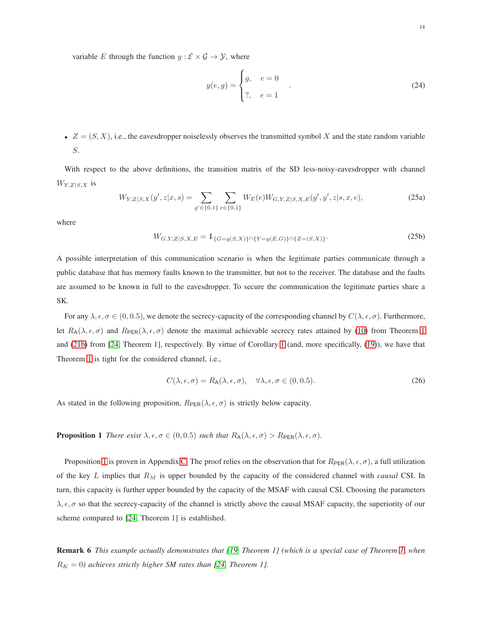variable E through the function  $y : \mathcal{E} \times \mathcal{G} \rightarrow \mathcal{Y}$ , where

$$
y(e,g) = \begin{cases} g, & e = 0 \\ ?, & e = 1 \end{cases}
$$
 (24)

•  $Z = (S, X)$ , i.e., the eavesdropper noiselessly observes the transmitted symbol X and the state random variable S.

With respect to the above definitions, the transition matrix of the SD less-noisy-eavesdropper with channel  $W_{Y,Z|S,X}$  is

$$
W_{Y,Z|S,X}(y',z|x,s) = \sum_{g' \in \{0,1\}} \sum_{e \in \{0,1\}} W_E(e) W_{G,Y,Z|S,X,E}(g',y',z|s,x,e), \tag{25a}
$$

where

$$
W_{G,Y,Z|S,X,E} = 1_{\{G=g(S,X)\}\cap\{Y=y(E,G)\}\cap\{Z=(S,X)\}}.\tag{25b}
$$

A possible interpretation of this communication scenario is when the legitimate parties communicate through a public database that has memory faults known to the transmitter, but not to the receiver. The database and the faults are assumed to be known in full to the eavesdropper. To secure the communication the legitimate parties share a SK.

For any  $\lambda, \epsilon, \sigma \in (0, 0.5)$ , we denote the secrecy-capacity of the corresponding channel by  $C(\lambda, \epsilon, \sigma)$ . Furthermore, let  $R_{\mathsf{A}}(\lambda,\epsilon,\sigma)$  and  $R_{\mathsf{PER}}(\lambda,\epsilon,\sigma)$  denote the maximal achievable secrecy rates attained by [\(10\)](#page-6-2) from Theorem [1](#page-6-1) and [\(21b\)](#page-11-0) from [\[24,](#page-33-20) Theorem 1], respectively. By virtue of Corollary [1](#page-9-3) (and, more specifically, [\(19\)](#page-10-1)), we have that Theorem [1](#page-6-1) is tight for the considered channel, i.e.,

<span id="page-13-1"></span>
$$
C(\lambda, \epsilon, \sigma) = R_{\mathsf{A}}(\lambda, \epsilon, \sigma), \quad \forall \lambda, \epsilon, \sigma \in (0, 0.5). \tag{26}
$$

<span id="page-13-0"></span>As stated in the following proposition,  $R_{PER}(\lambda, \epsilon, \sigma)$  is strictly below capacity.

**Proposition 1** *There exist*  $\lambda, \epsilon, \sigma \in (0, 0.5)$  *such that*  $R_A(\lambda, \epsilon, \sigma) > R_{PER}(\lambda, \epsilon, \sigma)$ *.* 

Proposition [1](#page-13-0) is proven in Appendix [C.](#page-27-0) The proof relies on the observation that for  $R_{PER}(\lambda, \epsilon, \sigma)$ , a full utilization of the key  $L$  implies that  $R_M$  is upper bounded by the capacity of the considered channel with *causal* CSI. In turn, this capacity is further upper bounded by the capacity of the MSAF with causal CSI. Choosing the parameters  $\lambda, \epsilon, \sigma$  so that the secrecy-capacity of the channel is strictly above the causal MSAF capacity, the superiority of our scheme compared to [\[24,](#page-33-20) Theorem 1] is established.

Remark 6 *This example actually demonstrates that [\[19,](#page-33-15) Theorem 1] (which is a special case of Theorem [1,](#page-6-1) when*  $R_K = 0$ ) achieves strictly higher SM rates than [\[24,](#page-33-20) Theorem 1].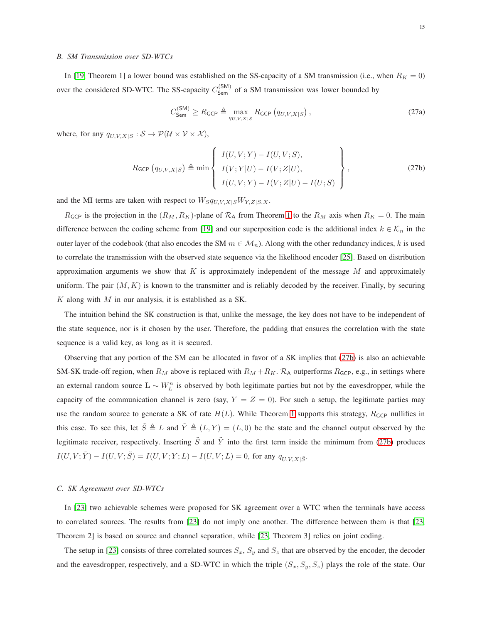# *B. SM Transmission over SD-WTCs*

In [\[19,](#page-33-15) Theorem 1] a lower bound was established on the SS-capacity of a SM transmission (i.e., when  $R_K = 0$ ) over the considered SD-WTC. The SS-capacity  $C_{\text{Sem}}^{(\text{SM})}$  of a SM transmission was lower bounded by

<span id="page-14-0"></span>
$$
C_{\mathsf{Sem}}^{(\mathsf{SM})} \ge R_{\mathsf{GCP}} \triangleq \max_{q_{U,V,X|S}} R_{\mathsf{GCP}} \left( q_{U,V,X|S} \right),\tag{27a}
$$

where, for any  $q_{U,V,X|S}: \mathcal{S} \to \mathcal{P}(\mathcal{U} \times \mathcal{V} \times \mathcal{X}),$ 

$$
R_{\text{GCP}}(q_{U,V,X|S}) \triangleq \min \left\{ \begin{array}{l} I(U,V;Y) - I(U,V;S), \\ I(V;Y|U) - I(V;Z|U), \\ I(U,V;Y) - I(V;Z|U) - I(U;S) \end{array} \right\},
$$
(27b)

and the MI terms are taken with respect to  $W_S q_{U,V,X|S} W_{Y,Z|S,X}$ .

 $R_{\text{GCP}}$  is the projection in the  $(R_M, R_K)$ -plane of  $\mathcal{R}_A$  from Theorem [1](#page-6-1) to the  $R_M$  axis when  $R_K = 0$ . The main difference between the coding scheme from [\[19\]](#page-33-15) and our superposition code is the additional index  $k \in \mathcal{K}_n$  in the outer layer of the codebook (that also encodes the SM  $m \in M_n$ ). Along with the other redundancy indices, k is used to correlate the transmission with the observed state sequence via the likelihood encoder [\[25\]](#page-33-21). Based on distribution approximation arguments we show that  $K$  is approximately independent of the message  $M$  and approximately uniform. The pair  $(M, K)$  is known to the transmitter and is reliably decoded by the receiver. Finally, by securing  $K$  along with  $M$  in our analysis, it is established as a SK.

The intuition behind the SK construction is that, unlike the message, the key does not have to be independent of the state sequence, nor is it chosen by the user. Therefore, the padding that ensures the correlation with the state sequence is a valid key, as long as it is secured.

Observing that any portion of the SM can be allocated in favor of a SK implies that [\(27b\)](#page-14-0) is also an achievable SM-SK trade-off region, when  $R_M$  above is replaced with  $R_M + R_K$ .  $R_A$  outperforms  $R_{\text{GCP}}$ , e.g., in settings where an external random source  $\mathbf{L} \sim W_L^n$  is observed by both legitimate parties but not by the eavesdropper, while the capacity of the communication channel is zero (say,  $Y = Z = 0$ ). For such a setup, the legitimate parties may use the random source to generate a SK of rate  $H(L)$ . While Theorem [1](#page-6-1) supports this strategy,  $R_{\text{GCP}}$  nullifies in this case. To see this, let  $\tilde{S} \triangleq L$  and  $\tilde{Y} \triangleq (L, Y) = (L, 0)$  be the state and the channel output observed by the legitimate receiver, respectively. Inserting  $\tilde{S}$  and  $\tilde{Y}$  into the first term inside the minimum from [\(27b\)](#page-14-0) produces  $I(U,V;\tilde{Y})-I(U,V;\tilde{S})=I(U,V;Y;L)-I(U,V;L)=0, \text{ for any }q_{U,V,X|\tilde{S}}.$ 

#### *C. SK Agreement over SD-WTCs*

In [\[23\]](#page-33-17) two achievable schemes were proposed for SK agreement over a WTC when the terminals have access to correlated sources. The results from [\[23\]](#page-33-17) do not imply one another. The difference between them is that [\[23,](#page-33-17) Theorem 2] is based on source and channel separation, while [\[23,](#page-33-17) Theorem 3] relies on joint coding.

The setup in [\[23\]](#page-33-17) consists of three correlated sources  $S_x$ ,  $S_y$  and  $S_z$  that are observed by the encoder, the decoder and the eavesdropper, respectively, and a SD-WTC in which the triple  $(S_x, S_y, S_z)$  plays the role of the state. Our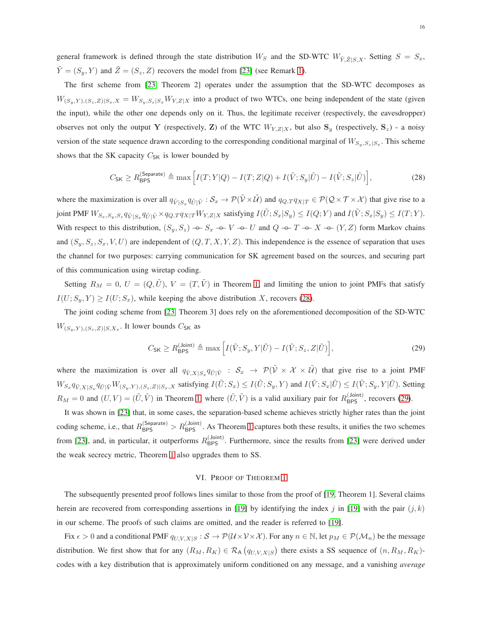general framework is defined through the state distribution  $W_S$  and the SD-WTC  $W_{\tilde{Y}, \tilde{Z}\mid S, X}$ . Setting  $S = S_x$ ,  $\hat{Y} = (S_y, Y)$  and  $\hat{Z} = (S_z, Z)$  recovers the model from [\[23\]](#page-33-17) (see Remark [1\)](#page-4-1).

The first scheme from [\[23,](#page-33-17) Theorem 2] operates under the assumption that the SD-WTC decomposes as  $W_{(S_u,Y),(S_z,Z)|S_x,X} = W_{S_u,S_z|S_x} W_{Y,Z|X}$  into a product of two WTCs, one being independent of the state (given the input), while the other one depends only on it. Thus, the legitimate receiver (respectively, the eavesdropper) observes not only the output Y (respectively, Z) of the WTC  $W_{Y,Z|X}$ , but also  $S_y$  (respectively,  $S_z$ ) - a noisy version of the state sequence drawn according to the corresponding conditional marginal of  $W_{S_y, S_z|S_x}$ . This scheme shows that the SK capacity  $C_{SK}$  is lower bounded by

<span id="page-15-1"></span>
$$
C_{\mathsf{SK}} \ge R_{\mathsf{BPS}}^{(\mathsf{Separate})} \triangleq \max \left[ I(T;Y|Q) - I(T;Z|Q) + I(\tilde{V};S_y|\tilde{U}) - I(\tilde{V};S_z|\tilde{U}) \right],\tag{28}
$$

where the maximization is over all  $q_{\tilde{V}|S_x} q_{\tilde{U}|\tilde{V}} : S_x \to \mathcal{P}(\tilde{V} \times \tilde{\mathcal{U}})$  and  $q_{Q,T} q_{X|T} \in \mathcal{P}(\mathcal{Q} \times \mathcal{T} \times \mathcal{X})$  that give rise to a joint PMF  $W_{S_x,S_y,S_z}q_{\tilde{V}\vert S_x}q_{\tilde{U}\vert \tilde{V}}\times q_{Q,T}q_{X\vert T}W_{Y,Z\vert X}$  satisfying  $I(\tilde{U};S_x\vert S_y)\leq I(Q;Y)$  and  $I(\tilde{V};S_x\vert S_y)\leq I(T;Y).$ With respect to this distribution,  $(S_y, S_z) \rightarrow S_x \rightarrow V \rightarrow U$  and  $Q \rightarrow T \rightarrow X \rightarrow (Y, Z)$  form Markov chains and  $(S_y, S_z, S_x, V, U)$  are independent of  $(Q, T, X, Y, Z)$ . This independence is the essence of separation that uses the channel for two purposes: carrying communication for SK agreement based on the sources, and securing part of this communication using wiretap coding.

Setting  $R_M = 0$ ,  $U = (Q, \tilde{U})$ ,  $V = (T, \tilde{V})$  in Theorem [1,](#page-6-1) and limiting the union to joint PMFs that satisfy  $I(U; S_y, Y) \ge I(U; S_x)$ , while keeping the above distribution X, recovers [\(28\)](#page-15-1).

The joint coding scheme from [\[23,](#page-33-17) Theorem 3] does rely on the aforementioned decomposition of the SD-WTC  $W_{(S_y,Y),(S_z,Z)|S,X_x}$ . It lower bounds  $C_{SK}$  as

<span id="page-15-2"></span>
$$
C_{\mathsf{SK}} \ge R_{\mathsf{BPS}}^{(\mathsf{Joint})} \triangleq \max \Big[ I(\tilde{V}; S_y, Y | \tilde{U}) - I(\tilde{V}; S_z, Z | \tilde{U}) \Big],\tag{29}
$$

where the maximization is over all  $q_{V,X|S_x} q_{\tilde{U}|\tilde{V}}$  :  $S_x \to \mathcal{P}(\tilde{V} \times \mathcal{X} \times \tilde{U})$  that give rise to a joint PMF  $W_{S_x}q_{\tilde{V},X|S_x}q_{\tilde{U}|\tilde{V}}W_{(S_y,Y),(S_z,Z)|S_x,X}$  satisfying  $I(\tilde{U};S_x) \leq I(\tilde{U};S_y,Y)$  and  $I(\tilde{V};S_x|\tilde{U}) \leq I(\tilde{V};S_y,Y|\tilde{U})$ . Setting  $R_M = 0$  and  $(U, V) = (\tilde{U}, \tilde{V})$  in Theorem [1,](#page-6-1) where  $(\tilde{U}, \tilde{V})$  is a valid auxiliary pair for  $R_{\text{BPS}}^{(\text{Joint})}$ , recovers [\(29\)](#page-15-2).

It was shown in [\[23\]](#page-33-17) that, in some cases, the separation-based scheme achieves strictly higher rates than the joint coding scheme, i.e., that  $R_{\text{BPS}}^{(\text{Separate})} > R_{\text{BPS}}^{(\text{Joint})}$ . As Theorem [1](#page-6-1) captures both these results, it unifies the two schemes from [\[23\]](#page-33-17), and, in particular, it outperforms  $R_{\rm BPS}^{(\rm Joint)}$ . Furthermore, since the results from [23] were derived under the weak secrecy metric, Theorem [1](#page-6-1) also upgrades them to SS.

## VI. PROOF OF THEOREM [1](#page-6-1)

<span id="page-15-0"></span>The subsequently presented proof follows lines similar to those from the proof of [\[19,](#page-33-15) Theorem 1]. Several claims herein are recovered from corresponding assertions in [\[19\]](#page-33-15) by identifying the index j in [19] with the pair  $(j, k)$ in our scheme. The proofs of such claims are omitted, and the reader is referred to [\[19\]](#page-33-15).

Fix  $\epsilon > 0$  and a conditional PMF  $q_{U,V,X|S}: \mathcal{S} \to \mathcal{P}(\mathcal{U} \times \mathcal{V} \times \mathcal{X})$ . For any  $n \in \mathbb{N}$ , let  $p_M \in \mathcal{P}(\mathcal{M}_n)$  be the message distribution. We first show that for any  $(R_M, R_K) \in \mathcal{R}_A(q_{U,V,X|S})$  there exists a SS sequence of  $(n, R_M, R_K)$ codes with a key distribution that is approximately uniform conditioned on any message, and a vanishing *average*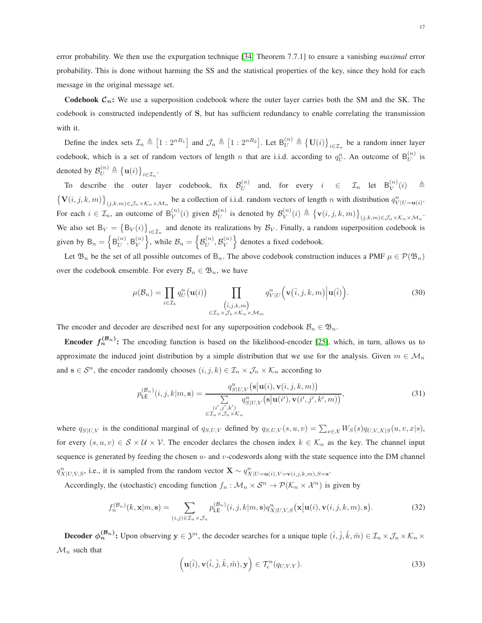error probability. We then use the expurgation technique [\[34,](#page-34-5) Theorem 7.7.1] to ensure a vanishing *maximal* error probability. This is done without harming the SS and the statistical properties of the key, since they hold for each message in the original message set.

**Codebook**  $C_n$ : We use a superposition codebook where the outer layer carries both the SM and the SK. The codebook is constructed independently of S, but has sufficient redundancy to enable correlating the transmission with it.

Define the index sets  $\mathcal{I}_n \triangleq [1:2^{nR_1}]$  and  $\mathcal{J}_n \triangleq [1:2^{nR_2}]$ . Let  $B_U^{(n)} \triangleq {\big\{U(i)\big\}}_{i \in \mathcal{I}_n}$  be a random inner layer codebook, which is a set of random vectors of length n that are i.i.d. according to  $q_U^n$ . An outcome of  $\mathsf{B}_U^{(n)}$  is denoted by  $\mathcal{B}_U^{(n)} \triangleq \{ \mathbf{u}(i) \}_{i \in \mathcal{I}_n}$ .

To describe the outer layer codebook, fix  $\mathcal{B}_{U}^{(n)}$  $\mathcal{U}^{(n)}$  and, for every  $i \in \mathcal{I}_n$  let  $\mathsf{B}_V^{(n)}$  $V^{(n)}(i)$   $\triangleq$  $\left\{V(i,j,k,m)\right\}_{(j,k,m)\in\mathcal{J}_n\times\mathcal{K}_n\times\mathcal{M}_n}$  be a collection of i.i.d. random vectors of length n with distribution  $q_{V|U=u(i)}^n$ . For each  $i \in \mathcal{I}_n$ , an outcome of  $B_V^{(n)}$  $V^{(n)}(i)$  given  $\mathcal{B}_U^{(n)}$  $\mathcal{B}_U^{(n)}$  is denoted by  $\mathcal{B}_V^{(n)}$  $\mathbf{V}^{(n)}(i) \triangleq \left\{ \mathbf{v}(i,j,k,m) \right\}_{(j,k,m) \in \mathcal{J}_n \times \mathcal{K}_n \times \mathcal{M}_n}.$ We also set  $B_V = \{B_V(i)\}_{i \in \mathcal{I}_n}$  and denote its realizations by  $B_V$ . Finally, a random superposition codebook is given by  $B_n = \left\{ B_U^{(n)} \right\}$  $U^{(n)}$ , B $V^{(n)}$  $\mathcal{B}_{V}^{(n)}\Big\}$ , while  $\mathcal{B}_{n} = \Big\{\mathcal{B}_{U}^{(n)}\Big\}$  $\overset{(n)}{U},\mathcal{B}_V^{(n)}$  $\left\{\begin{array}{c} (n) \\ V \end{array}\right\}$  denotes a fixed codebook.

Let  $\mathfrak{B}_n$  be the set of all possible outcomes of  $B_n$ . The above codebook construction induces a PMF  $\mu \in \mathcal{P}(\mathfrak{B}_n)$ over the codebook ensemble. For every  $\mathcal{B}_n \in \mathfrak{B}_n$ , we have

$$
\mu(\mathcal{B}_n) = \prod_{i \in \mathcal{I}_b} q_U^n(\mathbf{u}(i)) \prod_{\substack{\left(\hat{i}, j, k, m\right) \\ \in \mathcal{I}_n \times \mathcal{J}_n \times \mathcal{K}_n \times \mathcal{M}_m}} q_{V|U}^n\left(\mathbf{v}(\hat{i}, j, k, m) \middle| \mathbf{u}(\hat{i})\right).
$$
\n(30)

The encoder and decoder are described next for any superposition codebook  $\mathcal{B}_n \in \mathfrak{B}_n$ .

**Encoder**  $f_n^{(\mathcal{B}_n)}$ : The encoding function is based on the likelihood-encoder [\[25\]](#page-33-21), which, in turn, allows us to approximate the induced joint distribution by a simple distribution that we use for the analysis. Given  $m \in M_n$ and  $s \in \mathcal{S}^n$ , the encoder randomly chooses  $(i, j, k) \in \mathcal{I}_n \times \mathcal{J}_n \times \mathcal{K}_n$  according to

$$
p_{\mathsf{LE}}^{(\mathcal{B}_n)}(i,j,k|m,\mathbf{s}) = \frac{q_{S|U,V}^n(\mathbf{s}|\mathbf{u}(i),\mathbf{v}(i,j,k,m))}{\sum\limits_{\substack{(i',j',k')\\ \in \mathcal{I}_n \times \mathcal{J}_n \times \mathcal{K}_n}} q_{S|U,V}^n(\mathbf{s}|\mathbf{u}(i'),\mathbf{v}(i',j',k',m))},\tag{31}
$$

where  $q_{S|U,V}$  is the conditional marginal of  $q_{S,U,V}$  defined by  $q_{S,U,V}(s, u, v) = \sum_{x \in X} W_S(s) q_{U,V,X|S}(u, v, x|s)$ , for every  $(s, u, v) \in S \times U \times V$ . The encoder declares the chosen index  $k \in \mathcal{K}_n$  as the key. The channel input sequence is generated by feeding the chosen  $u$ - and  $v$ -codewords along with the state sequence into the DM channel  $q_{X|U,V,S}^n$ , i.e., it is sampled from the random vector  $\mathbf{X} \sim q_{X|U=\mathbf{u}(i),V=\mathbf{v}(i,j,k,m),S=\mathbf{s}}^n$ .

Accordingly, the (stochastic) encoding function  $f_n : \mathcal{M}_n \times \mathcal{S}^n \to \mathcal{P}(\mathcal{K}_n \times \mathcal{X}^n)$  is given by

$$
f_n^{(\mathcal{B}_n)}(k, \mathbf{x}|m, \mathbf{s}) = \sum_{(i,j)\in\mathcal{I}_n\times\mathcal{J}_n} p_{\mathsf{LE}}^{(\mathcal{B}_n)}(i, j, k|m, \mathbf{s}) q_{X|U,V,S}^n(\mathbf{x}|\mathbf{u}(i), \mathbf{v}(i, j, k, m), \mathbf{s}).\tag{32}
$$

**Decoder**  $\phi_n^{(\mathcal{B}_n)}$ : Upon observing  $y \in \mathcal{Y}^n$ , the decoder searches for a unique tuple  $(\hat{i}, \hat{j}, \hat{k}, \hat{m}) \in \mathcal{I}_n \times \mathcal{J}_n \times \mathcal{K}_n \times$  $\mathcal{M}_n$  such that

$$
\left(\mathbf{u}(\hat{i}), \mathbf{v}(\hat{i}, \hat{j}, \hat{k}, \hat{m}), \mathbf{y}\right) \in \mathcal{T}_{\epsilon}^{n}(q_{U,V,Y}).
$$
\n(33)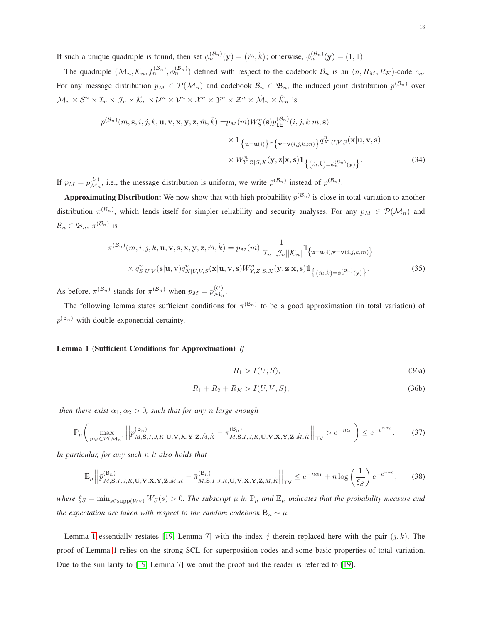If such a unique quadruple is found, then set  $\phi_n^{(\mathcal{B}_n)}(\mathbf{y}) = (\hat{m}, \hat{k})$ ; otherwise,  $\phi_n^{(\mathcal{B}_n)}(\mathbf{y}) = (1, 1)$ .

The quadruple  $(M_n, K_n, f_n^{(\mathcal{B}_n)}, \phi_n^{(\mathcal{B}_n)})$  defined with respect to the codebook  $\mathcal{B}_n$  is an  $(n, R_M, R_K)$ -code  $c_n$ . For any message distribution  $p_M \in \mathcal{P}(\mathcal{M}_n)$  and codebook  $\mathcal{B}_n \in \mathfrak{B}_n$ , the induced joint distribution  $p^{(\mathcal{B}_n)}$  over  $\mathcal{M}_n\times\mathcal{S}^n\times\mathcal{I}_n\times\mathcal{J}_n\times\mathcal{K}_n\times\mathcal{U}^n\times\mathcal{V}^n\times\mathcal{X}^n\times\mathcal{Y}^n\times\mathcal{Z}^n\times\hat{\mathcal{M}}_n\times\hat{\mathcal{K}}_n$  is

$$
p^{(\mathcal{B}_n)}(m, \mathbf{s}, i, j, k, \mathbf{u}, \mathbf{v}, \mathbf{x}, \mathbf{y}, \mathbf{z}, \hat{m}, \hat{k}) = p_M(m)W_S^n(\mathbf{s})p_{\mathsf{LE}}^{(\mathcal{B}_n)}(i, j, k|m, \mathbf{s})
$$

$$
\times \mathbb{1}_{\{\mathbf{u} = \mathbf{u}(i)\}\cap \{\mathbf{v} = \mathbf{v}(i, j, k, m)\}} q_{X|U, V, S}^n(\mathbf{x}|\mathbf{u}, \mathbf{v}, \mathbf{s})
$$

$$
\times W_{Y, Z|S, X}^n(\mathbf{y}, \mathbf{z}|\mathbf{x}, \mathbf{s}) \mathbb{1}_{\{(\hat{m}, \hat{k}) = \phi_n^{(\mathcal{B}_n)}(\mathbf{y})\}}.
$$
(34)

If  $p_M = p_{\mathcal{M}_r}^{(U)}$  $\mathcal{M}_n$ , i.e., the message distribution is uniform, we write  $\bar{p}^{(\mathcal{B}_n)}$  instead of  $p^{(\mathcal{B}_n)}$ .

**Approximating Distribution:** We now show that with high probability  $p^{(\mathcal{B}_n)}$  is close in total variation to another distribution  $\pi^{(\mathcal{B}_n)}$ , which lends itself for simpler reliability and security analyses. For any  $p_M \in \mathcal{P}(\mathcal{M}_n)$  and  $\mathcal{B}_n \in \mathfrak{B}_n$ ,  $\pi^{(\mathcal{B}_n)}$  is

$$
\pi^{(\mathcal{B}_n)}(m, i, j, k, \mathbf{u}, \mathbf{v}, \mathbf{s}, \mathbf{x}, \mathbf{y}, \mathbf{z}, \hat{m}, \hat{k}) = p_M(m) \frac{1}{|\mathcal{I}_n||\mathcal{J}_n||\mathcal{K}_n|} \mathbb{1}_{\{\mathbf{u} = \mathbf{u}(i), \mathbf{v} = \mathbf{v}(i, j, k, m)\}} \times q_{S|U, V}^n(\mathbf{s}|\mathbf{u}, \mathbf{v}) q_{X|U, V, S}^n(\mathbf{x}|\mathbf{u}, \mathbf{v}, \mathbf{s}) W_{Y, Z|S, X}^n(\mathbf{y}, \mathbf{z}|\mathbf{x}, \mathbf{s}) \mathbb{1}_{\{(\hat{m}, \hat{k}) = \phi_n^{(\mathcal{B}_n)}(\mathbf{y})\}}.
$$
\n(35)

As before,  $\bar{\pi}^{(\mathcal{B}_n)}$  stands for  $\pi^{(\mathcal{B}_n)}$  when  $p_M = p_{\mathcal{M}_n}^{(U)}$  $\overset{(U)}{\mathcal{M}_n}$ .

The following lemma states sufficient conditions for  $\pi^{(B_n)}$  to be a good approximation (in total variation) of  $p^{(\mathsf{B}_n)}$  with double-exponential certainty.

# Lemma 1 (Sufficient Conditions for Approximation) *If*

<span id="page-17-5"></span><span id="page-17-3"></span><span id="page-17-1"></span><span id="page-17-0"></span>
$$
R_1 > I(U;S),\tag{36a}
$$

$$
R_1 + R_2 + R_K > I(U, V; S),
$$
\n(36b)

*then there exist*  $\alpha_1, \alpha_2 > 0$ *, such that for any n large enough* 

<span id="page-17-4"></span>
$$
\mathbb{P}_{\mu}\left(\max_{p_{M}\in\mathcal{P}(\mathcal{M}_{n})}\left|\left|p_{M,\mathbf{S},I,J,K,\mathbf{U},\mathbf{V},\mathbf{X},\mathbf{Y},\mathbf{Z},\hat{M},\hat{K}}^{(\mathbf{B}_{n})}-\pi_{M,\mathbf{S},I,J,K,\mathbf{U},\mathbf{V},\mathbf{X},\mathbf{Y},\mathbf{Z},\hat{M},\hat{K}}^{(\mathbf{B}_{n})}\right|\right|_{\mathsf{TV}}>e^{-n\alpha_{1}}\right)\leq e^{-e^{n\alpha_{2}}}.
$$
 (37)

*In particular, for any such* n *it also holds that*

<span id="page-17-2"></span>
$$
\mathbb{E}_{\mu} \left| \left| \bar{p}_{M,\mathbf{S},I,J,K,\mathbf{U},\mathbf{V},\mathbf{X},\mathbf{Y},\mathbf{Z},\hat{M},\hat{K}}^{(\mathbf{B}_n)} - \bar{\pi}_{M,\mathbf{S},I,J,K,\mathbf{U},\mathbf{V},\mathbf{X},\mathbf{Y},\mathbf{Z},\hat{M},\hat{K}} \right| \right|_{\mathsf{TV}} \le e^{-n\alpha_1} + n \log \left( \frac{1}{\xi_S} \right) e^{-e^{n\alpha_2}},\tag{38}
$$

*where*  $\xi_S = \min_{s \in \text{supp}(W_S)} W_S(s) > 0$ . The subscript  $\mu$  in  $\mathbb{P}_{\mu}$  and  $\mathbb{E}_{\mu}$  indicates that the probability measure and *the expectation are taken with respect to the random codebook*  $B_n \sim \mu$ *.* 

Lemma [1](#page-17-0) essentially restates [\[19,](#page-33-15) Lemma 7] with the index j therein replaced here with the pair  $(j, k)$ . The proof of Lemma [1](#page-17-0) relies on the strong SCL for superposition codes and some basic properties of total variation. Due to the similarity to [\[19,](#page-33-15) Lemma 7] we omit the proof and the reader is referred to [\[19\]](#page-33-15).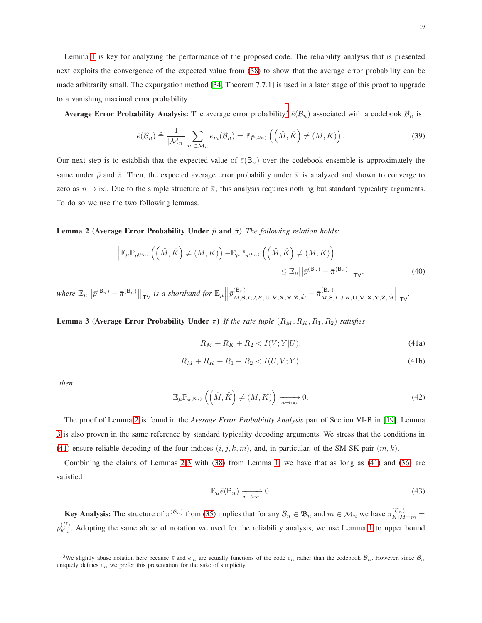Lemma [1](#page-17-0) is key for analyzing the performance of the proposed code. The reliability analysis that is presented next exploits the convergence of the expected value from [\(38\)](#page-17-2) to show that the average error probability can be made arbitrarily small. The expurgation method [\[34,](#page-34-5) Theorem 7.7.1] is used in a later stage of this proof to upgrade to a vanishing maximal error probability.

**Average Error Probability Analysis:** The average error probability<sup>[3](#page-18-1)</sup>  $\bar{e}(\mathcal{B}_n)$  associated with a codebook  $\mathcal{B}_n$  is

$$
\bar{e}(\mathcal{B}_n) \triangleq \frac{1}{|\mathcal{M}_n|} \sum_{m \in \mathcal{M}_n} e_m(\mathcal{B}_n) = \mathbb{P}_{\bar{P}(\mathcal{B}_n)} \left( \left( \hat{M}, \hat{K} \right) \neq (M, K) \right). \tag{39}
$$

Our next step is to establish that the expected value of  $\bar{e}(B_n)$  over the codebook ensemble is approximately the same under  $\bar{p}$  and  $\bar{\pi}$ . Then, the expected average error probability under  $\bar{\pi}$  is analyzed and shown to converge to zero as  $n \to \infty$ . Due to the simple structure of  $\bar{\pi}$ , this analysis requires nothing but standard typicality arguments. To do so we use the two following lemmas.

## <span id="page-18-2"></span>**Lemma 2 (Average Error Probability Under**  $\bar{p}$  **and**  $\bar{\pi}$ **)** *The following relation holds:*

$$
\left| \mathbb{E}_{\mu} \mathbb{P}_{\bar{p}^{(\mathsf{B}_{n})}} \left( \left( \hat{M}, \hat{K} \right) \neq (M, K) \right) - \mathbb{E}_{\mu} \mathbb{P}_{\bar{\pi}^{(\mathsf{B}_{n})}} \left( \left( \hat{M}, \hat{K} \right) \neq (M, K) \right) \right| \leq \mathbb{E}_{\mu} ||\bar{p}^{(\mathsf{B}_{n})} - \bar{\pi}^{(\mathsf{B}_{n})}||_{\mathsf{TV}}, \tag{40}
$$

<span id="page-18-3"></span>where  $\mathbb{E}_{\mu} \big| \big| \bar{p}^{(\mathsf{B}_n)} - \bar{\pi}^{(\mathsf{B}_n)} \big| \big|_{\mathsf{TV}}$  *is a shorthand for*  $\mathbb{E}_{\mu} \big|$  $\left| \bar{p}_{M,\mathbf{S},I,J,K,\mathbf{U},\mathbf{V},\mathbf{X},\mathbf{Y},\mathbf{Z},\hat{M}}^{(\mathbf{B}_n)} - \bar{\pi}_{M,\mathbf{S}}^{(\mathbf{B}_n)} \right|$  $M, S, I, J, K, U, V, X, Y, Z, \hat{M}$  $\begin{array}{c} \begin{array}{c} \begin{array}{c} \end{array}\\ \begin{array}{c} \end{array} \end{array} \end{array}$ |<br>|<sub>TV</sub>.

**Lemma 3 (Average Error Probability Under**  $\bar{\pi}$ ) *If the rate tuple*  $(R_M, R_K, R_1, R_2)$  *satisfies* 

<span id="page-18-0"></span>
$$
R_M + R_K + R_2 < I(V;Y|U),\tag{41a}
$$

$$
R_M + R_K + R_1 + R_2 < I(U, V; Y),\tag{41b}
$$

*then*

$$
\mathbb{E}_{\mu} \mathbb{P}_{\bar{\pi}^{(\mathsf{B}_n)}}\left(\left(\hat{M}, \hat{K}\right) \neq \left(M, K\right)\right) \xrightarrow[n \to \infty]{} 0. \tag{42}
$$

The proof of Lemma [2](#page-18-2) is found in the *Average Error Probability Analysis* part of Section VI-B in [\[19\]](#page-33-15). Lemma [3](#page-18-3) is also proven in the same reference by standard typicality decoding arguments. We stress that the conditions in [\(41\)](#page-18-0) ensure reliable decoding of the four indices  $(i, j, k, m)$ , and, in particular, of the SM-SK pair  $(m, k)$ .

Combining the claims of Lemmas [2-](#page-18-2)[3](#page-18-3) with [\(38\)](#page-17-2) from Lemma [1,](#page-17-0) we have that as long as [\(41\)](#page-18-0) and [\(36\)](#page-17-1) are satisfied

$$
\mathbb{E}_{\mu}\bar{e}(B_n) \xrightarrow[n \to \infty]{} 0. \tag{43}
$$

**Key Analysis:** The structure of  $\pi^{(\mathcal{B}_n)}$  from [\(35\)](#page-17-3) implies that for any  $\mathcal{B}_n \in \mathfrak{B}_n$  and  $m \in \mathcal{M}_n$  we have  $\pi^{(\mathcal{B}_n)}_{K|M=m}$  $p_{\mathcal{K}_m}^{(U)}$  $\mathcal{K}_n^{(0)}$ . Adopting the same abuse of notation we used for the reliability analysis, we use Lemma [1](#page-17-0) to upper bound

<span id="page-18-1"></span><sup>&</sup>lt;sup>3</sup>We slightly abuse notation here because  $\bar{e}$  and  $e_m$  are actually functions of the code  $c_n$  rather than the codebook  $\mathcal{B}_n$ . However, since  $\mathcal{B}_n$ uniquely defines  $c_n$  we prefer this presentation for the sake of simplicity.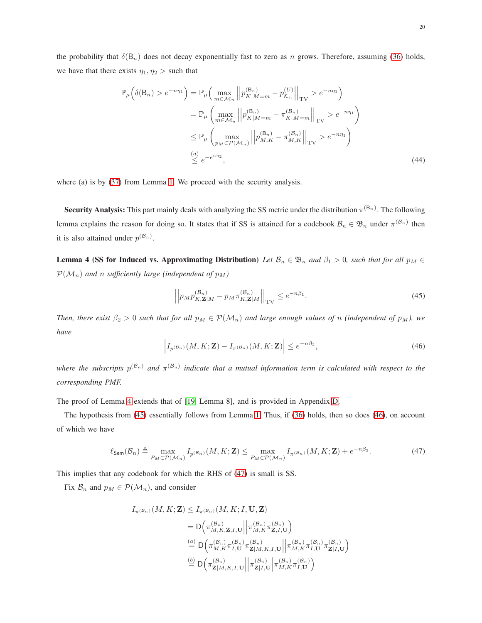the probability that  $\delta(B_n)$  does not decay exponentially fast to zero as n grows. Therefore, assuming [\(36\)](#page-17-1) holds, we have that there exists  $\eta_1, \eta_2 >$  such that

$$
\mathbb{P}_{\mu}\left(\delta(\mathsf{B}_{n}) > e^{-n\eta_{1}}\right) = \mathbb{P}_{\mu}\left(\max_{m \in \mathcal{M}_{n}} \left\|p_{K|M=m}^{(\mathsf{B}_{n})} - p_{K_{n}}^{(U)}\right\|_{\text{TV}} > e^{-n\eta_{1}}\right)
$$

$$
= \mathbb{P}_{\mu}\left(\max_{m \in \mathcal{M}_{n}} \left\|p_{K|M=m}^{(\mathsf{B}_{n})} - \pi_{K|M=m}^{(\mathsf{B}_{n})}\right\|_{\text{TV}} > e^{-n\eta_{1}}\right)
$$

$$
\leq \mathbb{P}_{\mu}\left(\max_{p_{M} \in \mathcal{P}(\mathcal{M}_{n})} \left\|p_{M,K}^{(\mathsf{B}_{n})} - \pi_{M,K}^{(\mathsf{B}_{n})}\right\|_{\text{TV}} > e^{-n\eta_{1}}\right)
$$

$$
\stackrel{(a)}{\leq} e^{-e^{n\eta_{2}}},\tag{44}
$$

where (a) is by [\(37\)](#page-17-4) from Lemma [1.](#page-17-0) We proceed with the security analysis.

<span id="page-19-0"></span>Security Analysis: This part mainly deals with analyzing the SS metric under the distribution  $\pi^{(B_n)}$ . The following lemma explains the reason for doing so. It states that if SS is attained for a codebook  $B_n \in \mathfrak{B}_n$  under  $\pi^{(\mathcal{B}_n)}$  then it is also attained under  $p^{(\mathcal{B}_n)}$ .

Lemma 4 (SS for Induced vs. Approximating Distribution) Let  $\mathcal{B}_n \in \mathfrak{B}_n$  and  $\beta_1 > 0$ , such that for all  $p_M \in$  $\mathcal{P}(\mathcal{M}_n)$  and *n* sufficiently large (independent of  $p_M$ )

<span id="page-19-1"></span>
$$
\left| \left| p_M p_{K,\mathbf{Z}|M}^{(\mathcal{B}_n)} - p_M \pi_{K,\mathbf{Z}|M}^{(\mathcal{B}_n)} \right| \right|_{\text{TV}} \le e^{-n\beta_1}.
$$
\n(45)

*Then, there exist*  $\beta_2 > 0$  *such that for all*  $p_M \in \mathcal{P}(\mathcal{M}_n)$  *and large enough values of n (independent of*  $p_M$ *), we have*

<span id="page-19-2"></span>
$$
\left| I_{p^{(\mathcal{B}_{n})}}(M,K;\mathbf{Z}) - I_{\pi^{(\mathcal{B}_{n})}}(M,K;\mathbf{Z}) \right| \leq e^{-n\beta_2},\tag{46}
$$

where the subscripts  $p^{(\mathcal{B}_n)}$  and  $\pi^{(\mathcal{B}_n)}$  indicate that a mutual information term is calculated with respect to the *corresponding PMF.*

The proof of Lemma [4](#page-19-0) extends that of [\[19,](#page-33-15) Lemma 8], and is provided in Appendix [D.](#page-30-0)

The hypothesis from [\(45\)](#page-19-1) essentially follows from Lemma [1.](#page-17-0) Thus, if [\(36\)](#page-17-1) holds, then so does [\(46\)](#page-19-2), on account of which we have

<span id="page-19-3"></span>
$$
\ell_{\mathsf{Sem}}(\mathcal{B}_n) \triangleq \max_{P_M \in \mathcal{P}(\mathcal{M}_n)} I_{p(\mathcal{B}_n)}(M, K; \mathbf{Z}) \le \max_{P_M \in \mathcal{P}(\mathcal{M}_n)} I_{\pi(\mathcal{B}_n)}(M, K; \mathbf{Z}) + e^{-n\beta_2}.
$$
\n(47)

This implies that any codebook for which the RHS of [\(47\)](#page-19-3) is small is SS.

Fix  $\mathcal{B}_n$  and  $p_M \in \mathcal{P}(\mathcal{M}_n)$ , and consider

$$
I_{\pi(\mathcal{B}_n)}(M, K; \mathbf{Z}) \leq I_{\pi(\mathcal{B}_n)}(M, K; I, \mathbf{U}, \mathbf{Z})
$$
  
\n
$$
= \mathsf{D}\Big(\pi_{M, K, \mathbf{Z}, I, \mathbf{U}}^{(\mathcal{B}_n)} \Big\|\pi_{M, K}^{(\mathcal{B}_n)} \pi_{\mathbf{Z}, I, \mathbf{U}}^{(\mathcal{B}_n)}\Big)
$$
  
\n
$$
\stackrel{(a)}{=} \mathsf{D}\Big(\pi_{M, K}^{(\mathcal{B}_n)} \pi_{I, \mathbf{U}}^{(\mathcal{B}_n)} \pi_{\mathbf{Z}|M, K, I, \mathbf{U}}^{(\mathcal{B}_n)} \Big\|\pi_{M, K}^{(\mathcal{B}_n)} \pi_{I, \mathbf{U}}^{(\mathcal{B}_n)} \pi_{\mathbf{Z}|I, \mathbf{U}}^{(\mathcal{B}_n)}\Big)
$$
  
\n
$$
\stackrel{(b)}{=} \mathsf{D}\Big(\pi_{\mathbf{Z}|M, K, I, \mathbf{U}}^{(\mathcal{B}_n)} \Big\|\pi_{\mathbf{Z}|I, \mathbf{U}}^{(\mathcal{B}_n)} \Big\|\pi_{M, K}^{(\mathcal{B}_n)} \pi_{I, \mathbf{U}}^{(\mathcal{B}_n)}\Big)
$$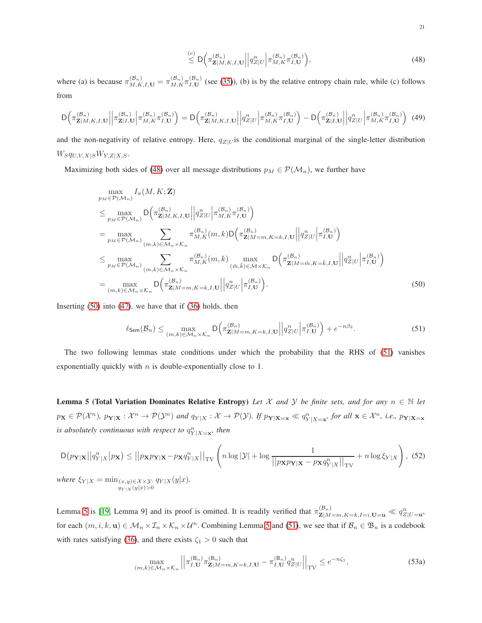<span id="page-20-0"></span>
$$
\stackrel{(c)}{\leq} \mathsf{D}\Big(\pi_{\mathbf{Z}|M,K,I,\mathbf{U}}^{(\mathcal{B}_n)}\Big\|q_{Z|U}^n\Big|\pi_{M,K}^{(\mathcal{B}_n)}\pi_{I,\mathbf{U}}^{(\mathcal{B}_n)}\Big),\tag{48}
$$

where (a) is because  $\pi_{M,K,I,U}^{(\mathcal{B}_n)} = \pi_{M,K}^{(\mathcal{B}_n)} \pi_{I,U}^{(\mathcal{B}_n)}$  (see [\(35\)](#page-17-3)), (b) is by the relative entropy chain rule, while (c) follows from

$$
\mathsf{D}\left(\pi_{\mathbf{Z}|M,K,I,\mathbf{U}}^{(\mathcal{B}_n)}\middle\middle\vert \pi_{\mathbf{Z}|I,\mathbf{U}}^{(\mathcal{B}_n)}\middle\vert \pi_{M,K}^{(\mathcal{B}_n)}\pi_{I,\mathbf{U}}^{(\mathcal{B}_n)}\right) = \mathsf{D}\left(\pi_{\mathbf{Z}|M,K,I,\mathbf{U}}^{(\mathcal{B}_n)}\middle\middle\vert \left|q_{Z|U}^n\middle\vert \pi_{M,K}^{(\mathcal{B}_n)}\pi_{I,\mathbf{U}}^{(\mathcal{B}_n)}\right.\right) - \mathsf{D}\left(\pi_{\mathbf{Z}|I,\mathbf{U}}^{(\mathcal{B}_n)}\middle\middle\vert \left|q_{Z|U}^n\middle\vert \pi_{M,K}^{(\mathcal{B}_n)}\pi_{I,\mathbf{U}}^{(\mathcal{B}_n)}\right.\right) (49)
$$

and the non-negativity of relative entropy. Here,  $q_{Z|U}$  is the conditional marginal of the single-letter distribution  $W_S q_{U,V,X|S}W_{Y,Z|X,S}.$ 

Maximizing both sides of [\(48\)](#page-20-0) over all message distributions  $p_M \in \mathcal{P}(\mathcal{M}_n)$ , we further have

$$
\max_{p_M \in \mathcal{P}(\mathcal{M}_n)} I_{\pi}(M, K; \mathbf{Z})
$$
\n
$$
\leq \max_{p_M \in \mathcal{P}(\mathcal{M}_n)} D(\pi_{\mathbf{Z}|M,K,I,\mathbf{U}}^{(B_n)} || q_{Z|U}^{n} | \pi_{M,K}^{(B_n)} \pi_{I,\mathbf{U}}^{(B_n)})
$$
\n
$$
= \max_{p_M \in \mathcal{P}(\mathcal{M}_n)} \sum_{(m,k) \in \mathcal{M}_n \times \mathcal{K}_n} \pi_{M,K}^{(B_n)}(m,k) D(\pi_{\mathbf{Z}|M=m,K=k,I,\mathbf{U}}^{(B_n)} || q_{Z|U}^{n} | \pi_{I,\mathbf{U}}^{(B_n)})
$$
\n
$$
\leq \max_{p_M \in \mathcal{P}(\mathcal{M}_n)} \sum_{(m,k) \in \mathcal{M}_n \times \mathcal{K}_n} \pi_{M,K}^{(B_n)}(m,k) \max_{(\tilde{m},\tilde{k}) \in \mathcal{M} \times \mathcal{K}_n} D(\pi_{\mathbf{Z}|M=\tilde{m},K=\tilde{k},I,\mathbf{U}}^{(B_n)} || q_{Z|U}^{n} | \pi_{I,\mathbf{U}}^{(B_n)})
$$
\n
$$
= \max_{(m,k) \in \mathcal{M}_n \times \mathcal{K}_n} D(\pi_{\mathbf{Z}|M=m,K=k,I,\mathbf{U}}^{(B_n)} || q_{Z|U}^{n} | \pi_{I,\mathbf{U}}^{(B_n)}).
$$
\n(50)

Inserting [\(50\)](#page-20-1) into [\(47\)](#page-19-3), we have that if [\(36\)](#page-17-1) holds, then

<span id="page-20-2"></span><span id="page-20-1"></span>
$$
\ell_{\mathsf{Sem}}(\mathcal{B}_n) \le \max_{(m,k)\in\mathcal{M}_n\times\mathcal{K}_n} \mathsf{D}\Big(\pi_{\mathbf{Z}|M=m,K=k,I,\mathbf{U}}^{(\mathcal{B}_n)}\Big| \Big| q_{Z|U}^n \Big|\pi_{I,\mathbf{U}}^{(\mathcal{B}_n)}\Big) + e^{-n\beta_2}.\tag{51}
$$

<span id="page-20-3"></span>The two following lemmas state conditions under which the probability that the RHS of [\(51\)](#page-20-2) vanishes exponentially quickly with  $n$  is double-exponentially close to 1.

**Lemma 5 (Total Variation Dominates Relative Entropy)** *Let*  $X$  and  $Y$  *be finite sets, and for any*  $n \in \mathbb{N}$  *let*  $p_{\mathbf{X}} \in \mathcal{P}(\mathcal{X}^n)$ ,  $p_{\mathbf{Y}|\mathbf{X}} : \mathcal{X}^n \to \mathcal{P}(\mathcal{Y}^n)$  and  $q_{Y|X} : \mathcal{X} \to \mathcal{P}(\mathcal{Y})$ . If  $p_{\mathbf{Y}|\mathbf{X}=\mathbf{x}} \ll q_{Y|X=\mathbf{x}}^n$ , for all  $\mathbf{x} \in \mathcal{X}^n$ , i.e.,  $p_{\mathbf{Y}|\mathbf{X}=\mathbf{x}}$ *is absolutely continuous with respect to*  $q_{Y|X=x}^n$ , then

$$
D(p_{\mathbf{Y}|\mathbf{X}}||q_{Y|X}^{n}|p_{\mathbf{X}}) \leq ||p_{\mathbf{X}}p_{\mathbf{Y}|\mathbf{X}} - p_{\mathbf{X}}q_{Y|X}^{n}||_{TV} \left(n \log |\mathcal{Y}| + \log \frac{1}{||p_{\mathbf{X}}p_{\mathbf{Y}|\mathbf{X}} - p_{\mathbf{X}}q_{Y|X}^{n}||_{TV}} + n \log \xi_{Y|X}\right), (52)
$$
  
where  $\xi_{Y|X} = \min_{\substack{(x,y)\in \mathcal{X}\times\mathcal{Y}:\\q_{Y|X}(y|x)>0}} q_{Y|X}(y|x).$ 

Lemma [5](#page-20-3) is [\[19,](#page-33-15) Lemma 9] and its proof is omitted. It is readily verified that  $\pi_{\mathbf{Z}|M=m,K=k,I=i,\mathbf{U}=\mathbf{u}}^{(\mathcal{B}_n)} \ll q_{Z|U=\mathbf{u}}^n$ , for each  $(m, i, k, u) \in M_n \times I_n \times K_n \times U^n$ . Combining Lemma [5](#page-20-3) and [\(51\)](#page-20-2), we see that if  $B_n \in \mathfrak{B}_n$  is a codebook with rates satisfying [\(36\)](#page-17-1), and there exists  $\zeta_1 > 0$  such that

<span id="page-20-4"></span>
$$
\max_{(m,k)\in\mathcal{M}_n\times\mathcal{K}_n} \left\| \pi_{I,\mathbf{U}}^{(\mathsf{B}_n)} \pi_{\mathbf{Z}|M=m,K=k,I,\mathbf{U}}^{(\mathsf{B}_n)} - \pi_{I,\mathbf{U}}^{(\mathsf{B}_n)} q_{Z|U}^n \right\|_{\text{TV}} \le e^{-n\zeta_1},\tag{53a}
$$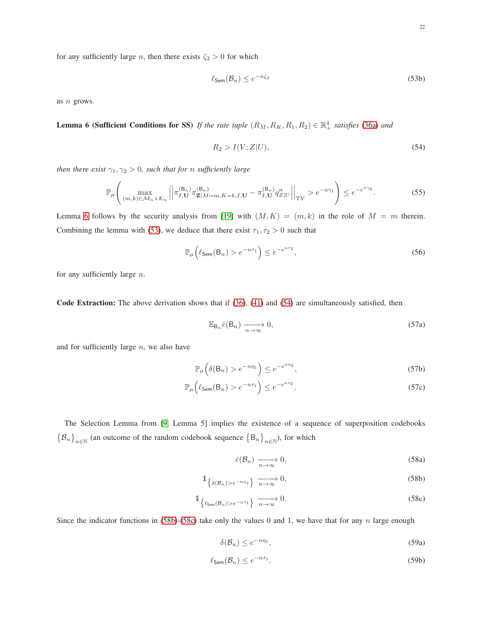for any sufficiently large *n*, then there exists  $\zeta_2 > 0$  for which

$$
\ell_{\mathsf{Sem}}(\mathcal{B}_n) \le e^{-n\zeta_2} \tag{53b}
$$

<span id="page-21-1"></span>as n grows.

**Lemma 6 (Sufficient Conditions for SS)** If the rate tuple  $(R_M, R_K, R_1, R_2) \in \mathbb{R}_+^4$  satisfies [\(36a\)](#page-17-5) and

<span id="page-21-0"></span>
$$
R_2 > I(V;Z|U),\tag{54}
$$

*then there exist*  $\gamma_1, \gamma_2 > 0$ *, such that for n sufficiently large* 

$$
\mathbb{P}_{\mu}\left(\max_{(m,k)\in\mathcal{M}_{n}\times\mathcal{K}_{n}}\left|\left|\pi_{I,\mathbf{U}}^{(\mathsf{B}_{n})}\pi_{\mathbf{Z}|M=m,K=k,I,\mathbf{U}}^{(\mathsf{B}_{n})}-\pi_{I,\mathbf{U}}^{(\mathsf{B}_{n})}q_{Z|U}^{n}\right|\right|_{\mathrm{TV}}>e^{-n\gamma_{1}}\right)\leq e^{-e^{n\gamma_{2}}}.
$$
\n(55)

Lemma [6](#page-21-1) follows by the security analysis from [\[19\]](#page-33-15) with  $(M, K) = (m, k)$  in the role of  $M = m$  therein. Combining the lemma with [\(53\)](#page-20-4), we deduce that there exist  $\tau_1, \tau_2 > 0$  such that

$$
\mathbb{P}_{\mu}\left(\ell_{\text{Sem}}(B_n) > e^{-n\tau_1}\right) \leq e^{-e^{n\tau_2}},\tag{56}
$$

for any sufficiently large  $n$ .

**Code Extraction:** The above derivation shows that if  $(36)$ ,  $(41)$  and  $(54)$  are simultaneously satisfied, then

<span id="page-21-4"></span>
$$
\mathbb{E}_{\mathsf{B}_n}\bar{e}(\mathsf{B}_n) \xrightarrow[n \to \infty]{} 0,\tag{57a}
$$

and for sufficiently large  $n$ , we also have

$$
\mathbb{P}_{\mu}\left(\delta(\mathsf{B}_{n}) > e^{-n\eta_{1}}\right) \leq e^{-e^{n\eta_{2}}},\tag{57b}
$$

$$
\mathbb{P}_{\mu}\left(\ell_{\mathsf{Sem}}(\mathsf{B}_n) > e^{-n\tau_1}\right) \leq e^{-e^{n\tau_2}}.\tag{57c}
$$

The Selection Lemma from [\[9,](#page-33-25) Lemma 5] implies the existence of a sequence of superposition codebooks  $\mathcal{B}_n\}_{n\in\mathbb{N}}$  (an outcome of the random codebook sequence  $\{B_n\}_{n\in\mathbb{N}}$ ), for which

<span id="page-21-3"></span><span id="page-21-2"></span>
$$
\bar{e}(\mathcal{B}_n) \xrightarrow[n \to \infty]{} 0,\tag{58a}
$$

$$
\mathbb{1}_{\left\{\delta(\mathcal{B}_n) > e^{-n\eta_1}\right\}} \xrightarrow[n \to \infty]{} 0,\tag{58b}
$$

$$
\mathbb{1}_{\left\{\ell_{\text{Sem}}(\mathcal{B}_n) > e^{-n\tau_1}\right\}} \xrightarrow[n \to \infty]{} 0. \tag{58c}
$$

Since the indicator functions in  $(58b)$ -[\(58c\)](#page-21-3) take only the values 0 and 1, we have that for any n large enough

<span id="page-21-5"></span>
$$
\delta(\mathcal{B}_n) \le e^{-n\eta_1},\tag{59a}
$$

$$
\ell_{\mathsf{Sem}}(\mathcal{B}_n) \le e^{-n\tau_1}.\tag{59b}
$$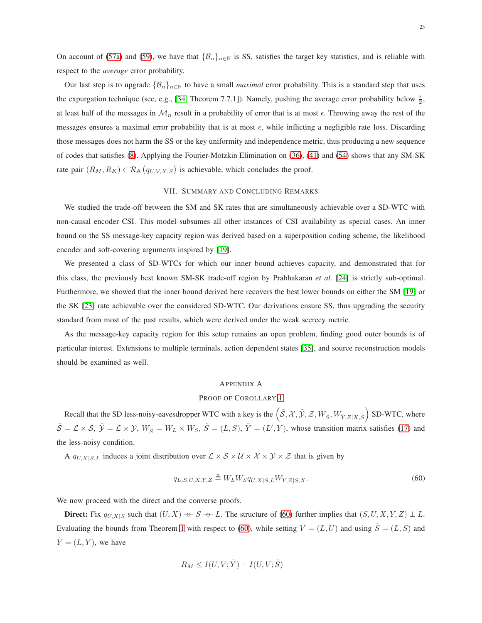On account of [\(57a\)](#page-21-4) and [\(59\)](#page-21-5), we have that  $\{\mathcal{B}_n\}_{n\in\mathbb{N}}$  is SS, satisfies the target key statistics, and is reliable with respect to the *average* error probability.

Our last step is to upgrade  $\{\mathcal{B}_n\}_{n\in\mathbb{N}}$  to have a small *maximal* error probability. This is a standard step that uses the expurgation technique (see, e.g., [\[34,](#page-34-5) Theorem 7.7.1]). Namely, pushing the average error probability below  $\frac{\epsilon}{2}$ , at least half of the messages in  $\mathcal{M}_n$  result in a probability of error that is at most  $\epsilon$ . Throwing away the rest of the messages ensures a maximal error probability that is at most  $\epsilon$ , while inflicting a negligible rate loss. Discarding those messages does not harm the SS or the key uniformity and independence metric, thus producing a new sequence of codes that satisfies [\(8\)](#page-6-4). Applying the Fourier-Motzkin Elimination on [\(36\)](#page-17-1), [\(41\)](#page-18-0) and [\(54\)](#page-21-0) shows that any SM-SK rate pair  $(R_M, R_K) \in \mathcal{R}_A(q_{U,V,X|S})$  is achievable, which concludes the proof.

# VII. SUMMARY AND CONCLUDING REMARKS

<span id="page-22-0"></span>We studied the trade-off between the SM and SK rates that are simultaneously achievable over a SD-WTC with non-causal encoder CSI. This model subsumes all other instances of CSI availability as special cases. An inner bound on the SS message-key capacity region was derived based on a superposition coding scheme, the likelihood encoder and soft-covering arguments inspired by [\[19\]](#page-33-15).

We presented a class of SD-WTCs for which our inner bound achieves capacity, and demonstrated that for this class, the previously best known SM-SK trade-off region by Prabhakaran *et al.* [\[24\]](#page-33-20) is strictly sub-optimal. Furthermore, we showed that the inner bound derived here recovers the best lower bounds on either the SM [\[19\]](#page-33-15) or the SK [\[23\]](#page-33-17) rate achievable over the considered SD-WTC. Our derivations ensure SS, thus upgrading the security standard from most of the past results, which were derived under the weak secrecy metric.

As the message-key capacity region for this setup remains an open problem, finding good outer bounds is of particular interest. Extensions to multiple terminals, action dependent states [\[35\]](#page-34-6), and source reconstruction models should be examined as well.

# <span id="page-22-1"></span>APPENDIX A

# PROOF OF COROLLARY [1](#page-9-3)

Recall that the SD less-noisy-eavesdropper WTC with a key is the  $(\tilde{S}, \mathcal{X}, \tilde{\mathcal{Y}}, \mathcal{Z}, W_{\tilde{S}}, W_{\tilde{Y}, Z|X, \tilde{S}})$  SD-WTC, where  $\tilde{S} = \mathcal{L} \times \mathcal{S}, \ \tilde{\mathcal{Y}} = \mathcal{L} \times \mathcal{Y}, \ W_{\tilde{S}} = W_L \times W_S, \ \tilde{S} = (L, S), \ \tilde{Y} = (L', Y),$  whose transition matrix satisfies [\(17\)](#page-9-5) and the less-noisy condition.

A  $q_{U,X|S,L}$  induces a joint distribution over  $\mathcal{L} \times \mathcal{S} \times \mathcal{U} \times \mathcal{X} \times \mathcal{Y} \times \mathcal{Z}$  that is given by

<span id="page-22-2"></span>
$$
q_{L,S,U,X,Y,Z} \triangleq W_L W_S q_{U,X|S,L} W_{Y,Z|S,X}.
$$
\n
$$
(60)
$$

We now proceed with the direct and the converse proofs.

**Direct:** Fix  $q_{U,X|S}$  such that  $(U, X) \rightarrow S \rightarrow L$ . The structure of [\(60\)](#page-22-2) further implies that  $(S, U, X, Y, Z) \perp L$ . Evaluating the bounds from Theorem [1](#page-6-1) with respect to [\(60\)](#page-22-2), while setting  $V = (L, U)$  and using  $\tilde{S} = (L, S)$  and  $Y = (L, Y)$ , we have

$$
R_M \leq I(U, V; \tilde{Y}) - I(U, V; \tilde{S})
$$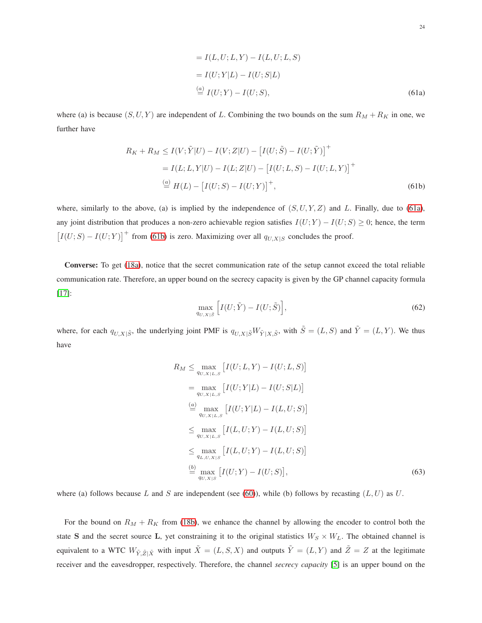<span id="page-23-1"></span><span id="page-23-0"></span>
$$
= I(L, U; L, Y) - I(L, U; L, S)
$$

$$
= I(U; Y|L) - I(U; S|L)
$$

$$
\stackrel{(a)}{=} I(U; Y) - I(U; S),
$$
(61a)

where (a) is because  $(S, U, Y)$  are independent of L. Combining the two bounds on the sum  $R_M + R_K$  in one, we further have

$$
R_K + R_M \le I(V; \tilde{Y}|U) - I(V; Z|U) - [I(U; \tilde{S}) - I(U; \tilde{Y})]^+
$$
  
=  $I(L; L, Y|U) - I(L; Z|U) - [I(U; L, S) - I(U; L, Y)]^+$   

$$
\stackrel{(a)}{=} H(L) - [I(U; S) - I(U; Y)]^+,
$$
 (61b)

where, similarly to the above, (a) is implied by the independence of  $(S, U, Y, Z)$  and L. Finally, due to [\(61a\)](#page-23-0), any joint distribution that produces a non-zero achievable region satisfies  $I(U;Y) - I(U;S) \geq 0$ ; hence, the term  $[I(U;S) - I(U;Y)]^+$  from [\(61b\)](#page-23-1) is zero. Maximizing over all  $q_{U,X|S}$  concludes the proof.

Converse: To get [\(18a\)](#page-9-2), notice that the secret communication rate of the setup cannot exceed the total reliable communication rate. Therefore, an upper bound on the secrecy capacity is given by the GP channel capacity formula [\[17\]](#page-33-13):

$$
\max_{q_{U,X|\tilde{S}}} \left[ I(U; \tilde{Y}) - I(U; \tilde{S}) \right],\tag{62}
$$

where, for each  $q_{U,X|\tilde{S}}$ , the underlying joint PMF is  $q_{U,X|\tilde{S}}W_{\tilde{Y}|X,\tilde{S}}$ , with  $\tilde{S} = (L, S)$  and  $\tilde{Y} = (L, Y)$ . We thus have

$$
R_M \leq \max_{q_{U,X|L,S}} [I(U;L,Y) - I(U;L,S)]
$$
  
\n
$$
= \max_{q_{U,X|L,S}} [I(U;Y|L) - I(U;S|L)]
$$
  
\n
$$
\stackrel{(a)}{=} \max_{q_{U,X|L,S}} [I(U;Y|L) - I(L,U;S)]
$$
  
\n
$$
\leq \max_{q_{U,X|L,S}} [I(L,U;Y) - I(L,U;S)]
$$
  
\n
$$
\leq \max_{q_{L,U,X|S}} [I(L,U;Y) - I(L,U;S)]
$$
  
\n
$$
\stackrel{(b)}{=} \max_{q_{U,X|S}} [I(U;Y) - I(U;S)],
$$
  
\n(63)

where (a) follows because L and S are independent (see [\(60\)](#page-22-2)), while (b) follows by recasting  $(L, U)$  as U.

For the bound on  $R_M + R_K$  from [\(18b\)](#page-9-4), we enhance the channel by allowing the encoder to control both the state S and the secret source L, yet constraining it to the original statistics  $W_S \times W_L$ . The obtained channel is equivalent to a WTC  $W_{\tilde{Y},\tilde{Z}|\tilde{X}}$  with input  $\tilde{X}=(L, S, X)$  and outputs  $\tilde{Y}=(L, Y)$  and  $\tilde{Z}=Z$  at the legitimate receiver and the eavesdropper, respectively. Therefore, the channel *secrecy capacity* [\[5\]](#page-33-3) is an upper bound on the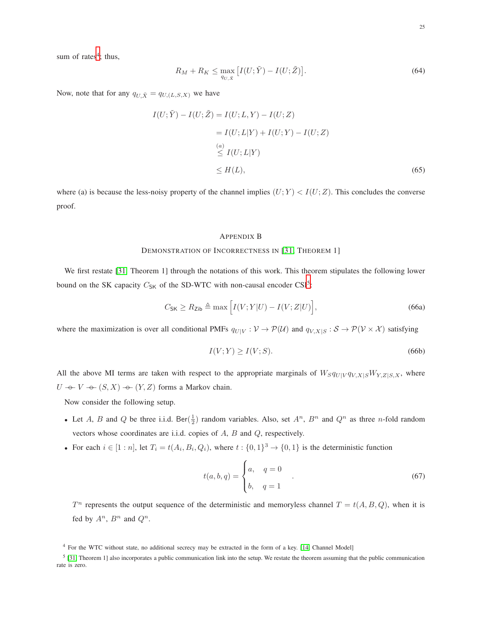sum of rates<sup>[4](#page-24-1)</sup>; thus,

$$
R_M + R_K \le \max_{q_{U,\tilde{X}}} \left[ I(U; \tilde{Y}) - I(U; \tilde{Z}) \right]. \tag{64}
$$

Now, note that for any  $q_{U,\tilde{X}} = q_{U,(L,S,X)}$  we have

$$
I(U; \tilde{Y}) - I(U; \tilde{Z}) = I(U; L, Y) - I(U; Z)
$$
  
=  $I(U; L|Y) + I(U; Y) - I(U; Z)$   

$$
\stackrel{(a)}{\leq} I(U; L|Y)
$$
  

$$
\leq H(L), \tag{65}
$$

where (a) is because the less-noisy property of the channel implies  $(U; Y) < I(U; Z)$ . This concludes the converse proof.

#### <span id="page-24-3"></span><span id="page-24-0"></span>APPENDIX B

## DEMONSTRATION OF INCORRECTNESS IN [\[31,](#page-34-2) THEOREM 1]

We first restate [\[31,](#page-34-2) Theorem 1] through the notations of this work. This theorem stipulates the following lower bound on the SK capacity  $C_{SK}$  of the SD-WTC with non-causal encoder  $CSI^5$  $CSI^5$ :

$$
C_{\mathsf{SK}} \ge R_{\mathsf{Zib}} \triangleq \max\Big[I(V;Y|U) - I(V;Z|U)\Big],\tag{66a}
$$

where the maximization is over all conditional PMFs  $q_{U|V}: V \to P(U)$  and  $q_{V,X|S}: S \to P(V \times X)$  satisfying

$$
I(V;Y) \ge I(V;S). \tag{66b}
$$

All the above MI terms are taken with respect to the appropriate marginals of  $W_S q_{U|V} q_{V,X|S} W_{Y,Z|S,X}$ , where  $U \rightarrow V \rightarrow (S, X) \rightarrow (Y, Z)$  forms a Markov chain.

Now consider the following setup.

- Let A, B and Q be three i.i.d. Ber( $\frac{1}{2}$ ) random variables. Also, set  $A^n$ ,  $B^n$  and  $Q^n$  as three n-fold random vectors whose coordinates are i.i.d. copies of A, B and Q, respectively.
- For each  $i \in [1:n]$ , let  $T_i = t(A_i, B_i, Q_i)$ , where  $t : \{0,1\}^3 \to \{0,1\}$  is the deterministic function

$$
t(a, b, q) = \begin{cases} a, & q = 0 \\ b, & q = 1 \end{cases}
$$
 (67)

 $T^n$  represents the output sequence of the deterministic and memoryless channel  $T = t(A, B, Q)$ , when it is fed by  $A^n$ ,  $B^n$  and  $Q^n$ .

<span id="page-24-1"></span><sup>4</sup> For the WTC without state, no additional secrecy may be extracted in the form of a key. [\[14,](#page-33-10) Channel Model]

<span id="page-24-2"></span> $5$  [\[31,](#page-34-2) Theorem 1] also incorporates a public communication link into the setup. We restate the theorem assuming that the public communication rate is zero.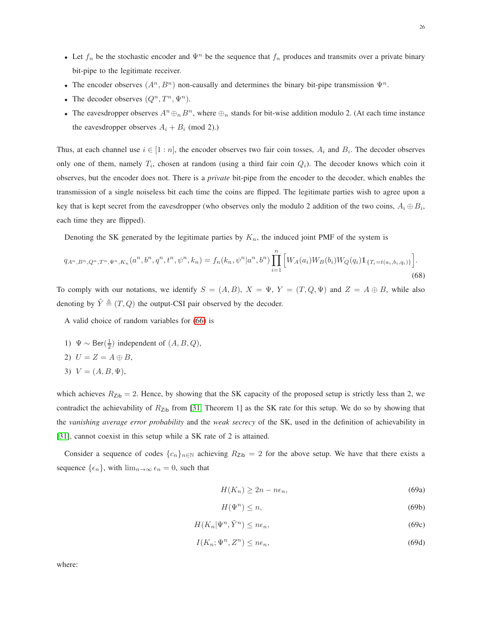- Let  $f_n$  be the stochastic encoder and  $\Psi^n$  be the sequence that  $f_n$  produces and transmits over a private binary bit-pipe to the legitimate receiver.
- The encoder observes  $(A^n, B^n)$  non-causally and determines the binary bit-pipe transmission  $\Psi^n$ .
- The decoder observes  $(Q^n, T^n, \Psi^n)$ .
- The eavesdropper observes  $A^n \oplus_n B^n$ , where  $\oplus_n$  stands for bit-wise addition modulo 2. (At each time instance the eavesdropper observes  $A_i + B_i \pmod{2}$ .

Thus, at each channel use  $i \in [1:n]$ , the encoder observes two fair coin tosses,  $A_i$  and  $B_i$ . The decoder observes only one of them, namely  $T_i$ , chosen at random (using a third fair coin  $Q_i$ ). The decoder knows which coin it observes, but the encoder does not. There is a *private* bit-pipe from the encoder to the decoder, which enables the transmission of a single noiseless bit each time the coins are flipped. The legitimate parties wish to agree upon a key that is kept secret from the eavesdropper (who observes only the modulo 2 addition of the two coins,  $A_i \oplus B_i$ , each time they are flipped).

Denoting the SK generated by the legitimate parties by  $K_n$ , the induced joint PMF of the system is

<span id="page-25-4"></span>
$$
q_{A^n,B^n,Q^n,T^n,\Psi^n,K_n}(a^n,b^n,q^n,t^n,\psi^n,k_n) = f_n(k_n,\psi^n|a^n,b^n) \prod_{i=1}^n \Big[ W_A(a_i)W_B(b_i)W_Q(q_i) \mathbb{1}_{\{T_i = t(a_i,b_i,q_i)\}} \Big].
$$
\n
$$
(68)
$$

To comply with our notations, we identify  $S = (A, B)$ ,  $X = \Psi$ ,  $Y = (T, Q, \Psi)$  and  $Z = A \oplus B$ , while also denoting by  $\tilde{Y} \triangleq (T, Q)$  the output-CSI pair observed by the decoder.

A valid choice of random variables for [\(66\)](#page-24-3) is

1)  $\Psi \sim \text{Ber}(\frac{1}{2})$  independent of  $(A, B, Q)$ ,

$$
2) U = Z = A \oplus B,
$$

$$
V = (A, B, \Psi),
$$

which achieves  $R_{\text{Zib}} = 2$ . Hence, by showing that the SK capacity of the proposed setup is strictly less than 2, we contradict the achievability of  $R_{\rm Zib}$  from [\[31,](#page-34-2) Theorem 1] as the SK rate for this setup. We do so by showing that the *vanishing average error probability* and the *weak secrecy* of the SK, used in the definition of achievability in [\[31\]](#page-34-2), cannot coexist in this setup while a SK rate of 2 is attained.

Consider a sequence of codes  ${c_n}_{n\in\mathbb{N}}$  achieving  $R_{\text{Zib}} = 2$  for the above setup. We have that there exists a sequence  $\{\epsilon_n\}$ , with  $\lim_{n\to\infty} \epsilon_n = 0$ , such that

<span id="page-25-0"></span>
$$
H(K_n) \ge 2n - n\epsilon_n,\tag{69a}
$$

<span id="page-25-3"></span><span id="page-25-2"></span><span id="page-25-1"></span>
$$
H(\Psi^n) \le n,\tag{69b}
$$

$$
H(K_n|\Psi^n, \tilde{Y}^n) \le n\epsilon_n,\tag{69c}
$$

$$
I(K_n; \Psi^n, Z^n) \le n\epsilon_n,\tag{69d}
$$

where: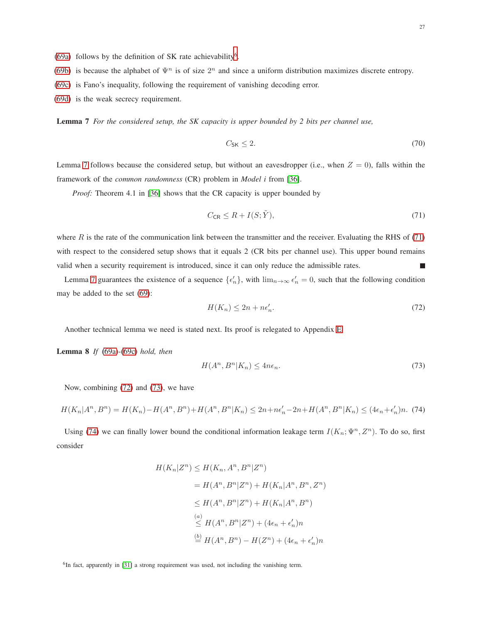- [\(69a\)](#page-25-0) follows by the definition of SK rate achievability<sup>[6](#page-26-0)</sup>.
- [\(69b\)](#page-25-1) is because the alphabet of  $\Psi^n$  is of size  $2^n$  and since a uniform distribution maximizes discrete entropy.
- [\(69c\)](#page-25-2) is Fano's inequality, following the requirement of vanishing decoding error.
- <span id="page-26-1"></span>[\(69d\)](#page-25-3) is the weak secrecy requirement.

Lemma 7 *For the considered setup, the SK capacity is upper bounded by 2 bits per channel use,*

$$
C_{\mathsf{SK}} \le 2. \tag{70}
$$

Lemma [7](#page-26-1) follows because the considered setup, but without an eavesdropper (i.e., when  $Z = 0$ ), falls within the framework of the *common randomness* (CR) problem in *Model i* from [\[36\]](#page-34-7).

*Proof:* Theorem 4.1 in [\[36\]](#page-34-7) shows that the CR capacity is upper bounded by

<span id="page-26-2"></span>
$$
C_{\mathsf{CR}} \le R + I(S; \tilde{Y}),\tag{71}
$$

where  $R$  is the rate of the communication link between the transmitter and the receiver. Evaluating the RHS of  $(71)$ with respect to the considered setup shows that it equals 2 (CR bits per channel use). This upper bound remains valid when a security requirement is introduced, since it can only reduce the admissible rates. г

Lemma [7](#page-26-1) guarantees the existence of a sequence  $\{\epsilon'_n\}$ , with  $\lim_{n\to\infty} \epsilon'_n = 0$ , such that the following condition may be added to the set [\(69\)](#page-25-3):

<span id="page-26-6"></span><span id="page-26-3"></span>
$$
H(K_n) \le 2n + n\epsilon'_n. \tag{72}
$$

Another technical lemma we need is stated next. Its proof is relegated to Appendix [E.](#page-30-1)

Lemma 8 *If* [\(69a\)](#page-25-0)*-*[\(69c\)](#page-25-2) *hold, then*

<span id="page-26-4"></span>
$$
H(A^n, B^n | K_n) \le 4n\epsilon_n. \tag{73}
$$

Now, combining [\(72\)](#page-26-3) and [\(73\)](#page-26-4), we have

<span id="page-26-5"></span>
$$
H(K_n|A^n, B^n) = H(K_n) - H(A^n, B^n) + H(A^n, B^n|K_n) \le 2n + n\epsilon'_n - 2n + H(A^n, B^n|K_n) \le (4\epsilon_n + \epsilon'_n)n. \tag{74}
$$

Using [\(74\)](#page-26-5) we can finally lower bound the conditional information leakage term  $I(K_n; \Psi^n, Z^n)$ . To do so, first consider

$$
H(K_n|Z^n) \le H(K_n, A^n, B^n|Z^n)
$$
  
=  $H(A^n, B^n|Z^n) + H(K_n|A^n, B^n, Z^n)$   
 $\le H(A^n, B^n|Z^n) + H(K_n|A^n, B^n)$   
 $\stackrel{(a)}{\le H(A^n, B^n|Z^n) + (4\epsilon_n + \epsilon'_n)n}$   
 $\stackrel{(b)}{=} H(A^n, B^n) - H(Z^n) + (4\epsilon_n + \epsilon'_n)n$ 

<span id="page-26-0"></span> ${}^{6}$ In fact, apparently in [\[31\]](#page-34-2) a strong requirement was used, not including the vanishing term.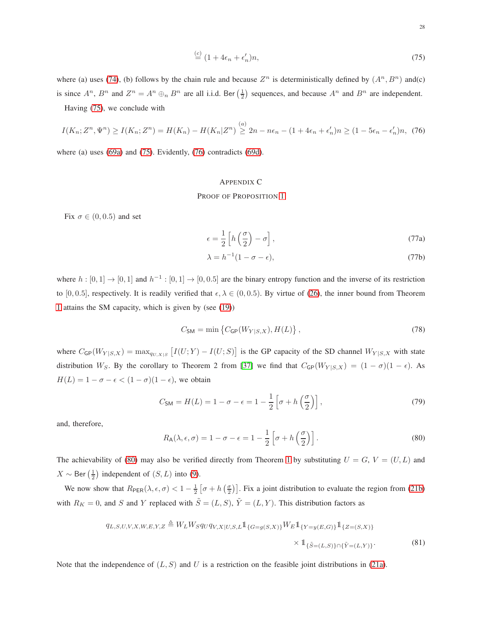<span id="page-27-1"></span>
$$
\stackrel{(c)}{=} (1 + 4\epsilon_n + \epsilon'_n)n,\tag{75}
$$

where (a) uses [\(74\)](#page-26-5), (b) follows by the chain rule and because  $Z^n$  is deterministically defined by  $(A^n, B^n)$  and(c) is since  $A^n$ ,  $B^n$  and  $Z^n = A^n \oplus_n B^n$  are all i.i.d. Ber  $(\frac{1}{2})$  sequences, and because  $A^n$  and  $B^n$  are independent.

Having [\(75\)](#page-27-1), we conclude with

<span id="page-27-2"></span>
$$
I(K_n; Z^n, \Psi^n) \ge I(K_n; Z^n) = H(K_n) - H(K_n|Z^n) \stackrel{(a)}{\ge} 2n - n\epsilon_n - (1 + 4\epsilon_n + \epsilon'_n)n \ge (1 - 5\epsilon_n - \epsilon'_n)n, \tag{76}
$$

where (a) uses [\(69a\)](#page-25-0) and [\(75\)](#page-27-1). Evidently, [\(76\)](#page-27-2) contradicts [\(69d\)](#page-25-3).

# <span id="page-27-0"></span>APPENDIX C

#### PROOF OF PROPOSITION [1](#page-13-0)

Fix  $\sigma \in (0, 0.5)$  and set

$$
\epsilon = \frac{1}{2} \left[ h \left( \frac{\sigma}{2} \right) - \sigma \right],\tag{77a}
$$

$$
\lambda = h^{-1}(1 - \sigma - \epsilon),\tag{77b}
$$

where  $h: [0,1] \to [0,1]$  and  $h^{-1}: [0,1] \to [0,0.5]$  are the binary entropy function and the inverse of its restriction to [0, 0.5], respectively. It is readily verified that  $\epsilon, \lambda \in (0, 0.5)$ . By virtue of [\(26\)](#page-13-1), the inner bound from Theorem [1](#page-6-1) attains the SM capacity, which is given by (see [\(19\)](#page-10-1))

$$
C_{\mathsf{SM}} = \min\left\{ C_{\mathsf{GP}}(W_{Y|S,X}), H(L) \right\},\tag{78}
$$

where  $C_{GP}(W_{Y|S,X}) = \max_{q_{U,X|S}} [I(U;Y) - I(U;S)]$  is the GP capacity of the SD channel  $W_{Y|S,X}$  with state distribution W<sub>S</sub>. By the corollary to Theorem 2 from [\[37\]](#page-34-8) we find that  $C_{GP}(W_{Y|S,X}) = (1 - \sigma)(1 - \epsilon)$ . As  $H(L) = 1 - \sigma - \epsilon < (1 - \sigma)(1 - \epsilon)$ , we obtain

$$
C_{\text{SM}} = H(L) = 1 - \sigma - \epsilon = 1 - \frac{1}{2} \left[ \sigma + h\left(\frac{\sigma}{2}\right) \right],\tag{79}
$$

and, therefore,

<span id="page-27-4"></span><span id="page-27-3"></span>
$$
R_{\mathsf{A}}(\lambda,\epsilon,\sigma) = 1 - \sigma - \epsilon = 1 - \frac{1}{2} \left[ \sigma + h\left(\frac{\sigma}{2}\right) \right]. \tag{80}
$$

The achievability of [\(80\)](#page-27-3) may also be verified directly from Theorem [1](#page-6-1) by substituting  $U = G$ ,  $V = (U, L)$  and  $X \sim$  Ber  $\left(\frac{1}{2}\right)$  independent of  $(S, L)$  into [\(9\)](#page-6-3).

We now show that  $R_{PER}(\lambda, \epsilon, \sigma) < 1 - \frac{1}{2} [\sigma + h(\frac{\sigma}{2})]$ . Fix a joint distribution to evaluate the region from [\(21b\)](#page-11-0) with  $R_K = 0$ , and S and Y replaced with  $\tilde{S} = (L, S)$ ,  $\tilde{Y} = (L, Y)$ . This distribution factors as

$$
q_{L,S,U,V,X,W,E,Y,Z} \triangleq W_L W_S q_U q_{V,X|U,S,L} \mathbb{1}_{\{G=g(S,X)\}} W_E \mathbb{1}_{\{Y=y(E,G)\}} \mathbb{1}_{\{Z=(S,X)\}}\times \mathbb{1}_{\{\tilde{S}=(L,S)\}\cap \{\tilde{Y}=(L,Y)\}}.
$$
\n(81)

Note that the independence of  $(L, S)$  and U is a restriction on the feasible joint distributions in [\(21a\)](#page-11-1).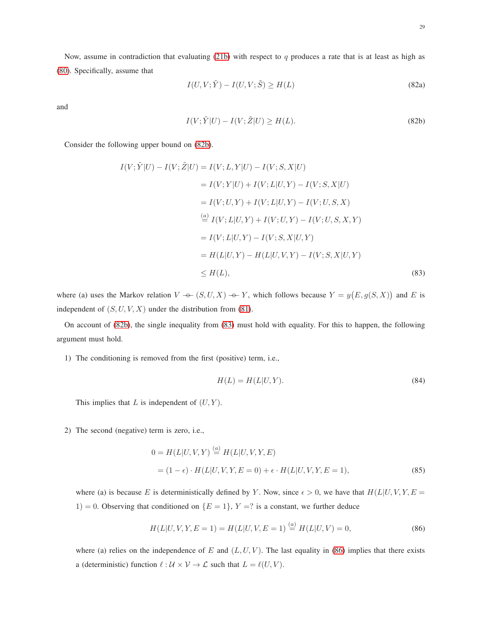Now, assume in contradiction that evaluating [\(21b\)](#page-11-0) with respect to q produces a rate that is at least as high as [\(80\)](#page-27-3). Specifically, assume that

<span id="page-28-3"></span>
$$
I(U, V; \tilde{Y}) - I(U, V; \tilde{S}) \ge H(L)
$$
\n(82a)

and

<span id="page-28-0"></span>
$$
I(V; \tilde{Y}|U) - I(V; \tilde{Z}|U) \ge H(L). \tag{82b}
$$

Consider the following upper bound on [\(82b\)](#page-28-0).

$$
I(V; \tilde{Y}|U) - I(V; \tilde{Z}|U) = I(V; L, Y|U) - I(V; S, X|U)
$$
  
=  $I(V; Y|U) + I(V; L|U, Y) - I(V; S, X|U)$   
=  $I(V; U, Y) + I(V; L|U, Y) - I(V; U, S, X)$   

$$
\stackrel{(a)}{=} I(V; L|U, Y) + I(V; U, Y) - I(V; U, S, X, Y)
$$
  
=  $I(V; L|U, Y) - I(V; S, X|U, Y)$   
=  $H(L|U, Y) - H(L|U, V, Y) - I(V; S, X|U, Y)$   
 $\leq H(L),$  (83)

where (a) uses the Markov relation  $V \to (S, U, X) \to Y$ , which follows because  $Y = y(E, g(S, X))$  and E is independent of  $(S, U, V, X)$  under the distribution from [\(81\)](#page-27-4).

On account of [\(82b\)](#page-28-0), the single inequality from [\(83\)](#page-28-1) must hold with equality. For this to happen, the following argument must hold.

1) The conditioning is removed from the first (positive) term, i.e.,

<span id="page-28-1"></span>
$$
H(L) = H(L|U, Y). \tag{84}
$$

This implies that  $L$  is independent of  $(U, Y)$ .

2) The second (negative) term is zero, i.e.,

$$
0 = H(L|U, V, Y) \stackrel{(a)}{=} H(L|U, V, Y, E)
$$
  
=  $(1 - \epsilon) \cdot H(L|U, V, Y, E = 0) + \epsilon \cdot H(L|U, V, Y, E = 1),$  (85)

where (a) is because E is deterministically defined by Y. Now, since  $\epsilon > 0$ , we have that  $H(L|U, V, Y, E =$ 1) = 0. Observing that conditioned on  $\{E = 1\}$ ,  $Y = ?$  is a constant, we further deduce

<span id="page-28-2"></span>
$$
H(L|U, V, Y, E = 1) = H(L|U, V, E = 1) \stackrel{(a)}{=} H(L|U, V) = 0,
$$
\n(86)

where (a) relies on the independence of E and  $(L, U, V)$ . The last equality in [\(86\)](#page-28-2) implies that there exists a (deterministic) function  $\ell : \mathcal{U} \times \mathcal{V} \to \mathcal{L}$  such that  $L = \ell(U, V)$ .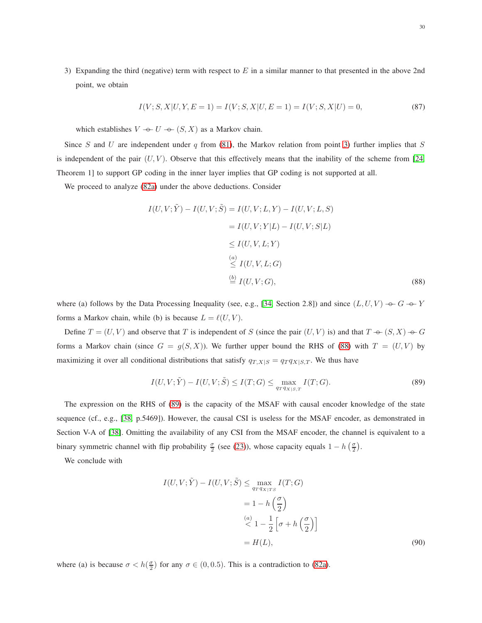<span id="page-29-0"></span>3) Expanding the third (negative) term with respect to  $E$  in a similar manner to that presented in the above 2nd point, we obtain

$$
I(V; S, X | U, Y, E = 1) = I(V; S, X | U, E = 1) = I(V; S, X | U) = 0,
$$
\n(87)

which establishes  $V \to U \to (S, X)$  as a Markov chain.

Since S and U are independent under q from [\(81\)](#page-27-4), the Markov relation from point [3\)](#page-29-0) further implies that S is independent of the pair  $(U, V)$ . Observe that this effectively means that the inability of the scheme from [\[24,](#page-33-20) Theorem 1] to support GP coding in the inner layer implies that GP coding is not supported at all.

We proceed to analyze [\(82a\)](#page-28-3) under the above deductions. Consider

<span id="page-29-1"></span>
$$
I(U, V; \tilde{Y}) - I(U, V; \tilde{S}) = I(U, V; L, Y) - I(U, V; L, S)
$$
  
\n
$$
= I(U, V; Y|L) - I(U, V; S|L)
$$
  
\n
$$
\leq I(U, V, L; Y)
$$
  
\n
$$
\stackrel{(a)}{\leq} I(U, V, L; G)
$$
  
\n
$$
\stackrel{(b)}{=} I(U, V; G),
$$
  
\n(88)

where (a) follows by the Data Processing Inequality (see, e.g., [\[34,](#page-34-5) Section 2.8]) and since  $(L, U, V) \rightarrow G \rightarrow Y$ forms a Markov chain, while (b) is because  $L = \ell(U, V)$ .

Define  $T = (U, V)$  and observe that T is independent of S (since the pair  $(U, V)$  is) and that  $T \to (S, X) \to G$ forms a Markov chain (since  $G = g(S, X)$ ). We further upper bound the RHS of [\(88\)](#page-29-1) with  $T = (U, V)$  by maximizing it over all conditional distributions that satisfy  $q_{T,X|S} = q_T q_{X|S,T}$ . We thus have

<span id="page-29-2"></span>
$$
I(U, V; \tilde{Y}) - I(U, V; \tilde{S}) \le I(T; G) \le \max_{q_T q_{X|S,T}} I(T; G). \tag{89}
$$

The expression on the RHS of [\(89\)](#page-29-2) is the capacity of the MSAF with causal encoder knowledge of the state sequence (cf., e.g., [\[38,](#page-34-9) p.5469]). However, the causal CSI is useless for the MSAF encoder, as demonstrated in Section V-A of [\[38\]](#page-34-9). Omitting the availability of any CSI from the MSAF encoder, the channel is equivalent to a binary symmetric channel with flip probability  $\frac{\sigma}{2}$  (see [\(23\)](#page-12-2)), whose capacity equals  $1 - h\left(\frac{\sigma}{2}\right)$ .

We conclude with

$$
I(U, V; \tilde{Y}) - I(U, V; \tilde{S}) \le \max_{q_T q_{X|TS}} I(T; G)
$$
  
=  $1 - h\left(\frac{\sigma}{2}\right)$   
 $\stackrel{(a)}{\le} 1 - \frac{1}{2} \left[\sigma + h\left(\frac{\sigma}{2}\right)\right]$   
=  $H(L)$ , (90)

where (a) is because  $\sigma < h(\frac{\sigma}{2})$  for any  $\sigma \in (0, 0.5)$ . This is a contradiction to [\(82a\)](#page-28-3).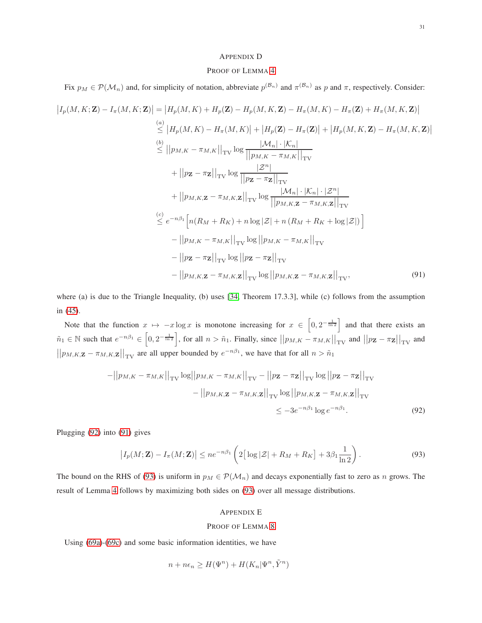#### <span id="page-30-3"></span><span id="page-30-0"></span>APPENDIX D

## PROOF OF LEMMA [4](#page-19-0)

Fix  $p_M \in \mathcal{P}(\mathcal{M}_n)$  and, for simplicity of notation, abbreviate  $p^{(\mathcal{B}_n)}$  and  $\pi^{(\mathcal{B}_n)}$  as p and  $\pi$ , respectively. Consider:

$$
\left|I_{p}(M,K;\mathbf{Z}) - I_{\pi}(M,K;\mathbf{Z})\right| = \left|H_{p}(M,K) + H_{p}(\mathbf{Z}) - H_{p}(M,K,\mathbf{Z}) - H_{\pi}(M,K) - H_{\pi}(\mathbf{Z}) + H_{\pi}(M,K,\mathbf{Z})\right|
$$
  
\n
$$
\stackrel{(a)}{\leq} |H_{p}(M,K) - H_{\pi}(M,K)| + |H_{p}(\mathbf{Z}) - H_{\pi}(\mathbf{Z})| + |H_{p}(M,K,\mathbf{Z}) - H_{\pi}(M,K,\mathbf{Z})|
$$
  
\n
$$
\stackrel{(b)}{\leq} ||p_{M,K} - \pi_{M,K}||_{\text{TV}} \log \frac{|\mathcal{M}_{n}| \cdot |\mathcal{K}_{n}|}{||p_{M,K} - \pi_{M,K}||_{\text{TV}}}
$$
  
\n
$$
+ ||p_{\mathbf{Z}} - \pi_{\mathbf{Z}}||_{\text{TV}} \log \frac{|\mathcal{M}_{n}| \cdot |\mathcal{K}_{n}| \cdot |\mathcal{Z}^{n}|}{||p_{M,K,\mathbf{Z}} - \pi_{M,K,\mathbf{Z}}||_{\text{TV}}}
$$
  
\n
$$
\stackrel{(c)}{\leq} e^{-n\beta_{1}} \left[ n(R_{M} + R_{K}) + n \log |\mathcal{Z}| + n(R_{M} + R_{K} + \log |\mathcal{Z}|) \right]
$$
  
\n
$$
- ||p_{M,K} - \pi_{M,K}||_{\text{TV}} \log ||p_{M,K} - \pi_{M,K}||_{\text{TV}}
$$
  
\n
$$
- ||p_{\mathbf{Z}} - \pi_{\mathbf{Z}}||_{\text{TV}} \log ||p_{\mathbf{Z}} - \pi_{\mathbf{Z}}||_{\text{TV}}
$$
  
\n
$$
- ||p_{M,K,\mathbf{Z}} - \pi_{M,K,\mathbf{Z}}||_{\text{TV}} \log ||p_{M,K,\mathbf{Z}} - \pi_{M,K,\mathbf{Z}}||_{\text{TV}},
$$
  
\n(91)

where (a) is due to the Triangle Inequality, (b) uses [\[34,](#page-34-5) Theorem 17.3.3], while (c) follows from the assumption in [\(45\)](#page-19-1).

Note that the function  $x \mapsto -x \log x$  is monotone increasing for  $x \in [0, 2^{-\frac{1}{\ln 2}}]$  and that there exists an  $\tilde{n}_1 \in \mathbb{N}$  such that  $e^{-n\beta_1} \in \left[0, 2^{-\frac{1}{\ln 2}}\right]$ , for all  $n > \tilde{n}_1$ . Finally, since  $||p_{M,K} - \pi_{M,K}||_{TV}$  and  $||p_{\mathbf{Z}} - \pi_{\mathbf{Z}}||_{TV}$  and  $||p_{M,K,\mathbf{Z}} - \pi_{M,K,\mathbf{Z}}||_{TV}$  are all upper bounded by  $e^{-n\beta_1}$ , we have that for all  $n > \tilde{n}_1$ 

$$
-||p_{M,K} - \pi_{M,K}||_{\text{TV}} \log ||p_{M,K} - \pi_{M,K}||_{\text{TV}} - ||p_{\mathbf{Z}} - \pi_{\mathbf{Z}}||_{\text{TV}} \log ||p_{\mathbf{Z}} - \pi_{\mathbf{Z}}||_{\text{TV}}
$$

$$
-||p_{M,K,\mathbf{Z}} - \pi_{M,K,\mathbf{Z}}||_{\text{TV}} \log ||p_{M,K,\mathbf{Z}} - \pi_{M,K,\mathbf{Z}}||_{\text{TV}}
$$

$$
\leq -3e^{-n\beta_1} \log e^{-n\beta_1}.
$$
(92)

Plugging [\(92\)](#page-30-2) into [\(91\)](#page-30-3) gives

<span id="page-30-4"></span>
$$
\left|I_p(M;\mathbf{Z}) - I_\pi(M;\mathbf{Z})\right| \le n e^{-n\beta_1} \left(2\left[\log|\mathcal{Z}| + R_M + R_K\right] + 3\beta_1 \frac{1}{\ln 2}\right). \tag{93}
$$

The bound on the RHS of [\(93\)](#page-30-4) is uniform in  $p_M \in \mathcal{P}(\mathcal{M}_n)$  and decays exponentially fast to zero as n grows. The result of Lemma [4](#page-19-0) follows by maximizing both sides on [\(93\)](#page-30-4) over all message distributions.

#### <span id="page-30-2"></span><span id="page-30-1"></span>APPENDIX E

#### PROOF OF LEMMA [8](#page-26-6)

Using [\(69a\)](#page-25-0)-[\(69c\)](#page-25-2) and some basic information identities, we have

$$
n + n\epsilon_n \ge H(\Psi^n) + H(K_n | \Psi^n, \tilde{Y}^n)
$$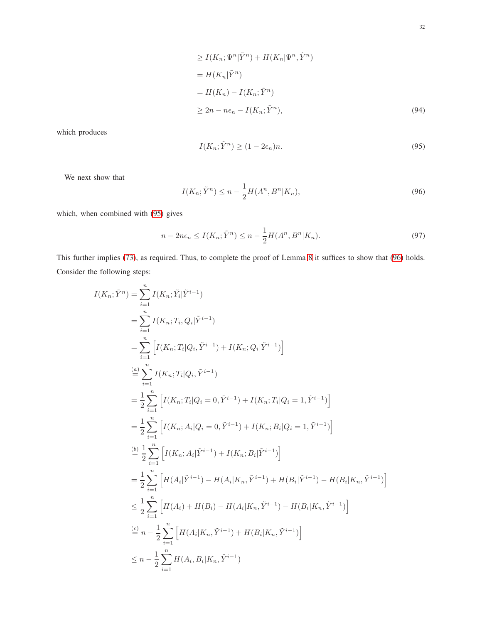$$
\geq I(K_n; \Psi^n | \tilde{Y}^n) + H(K_n | \Psi^n, \tilde{Y}^n)
$$
  
=  $H(K_n | \tilde{Y}^n)$   
=  $H(K_n) - I(K_n; \tilde{Y}^n)$   

$$
\geq 2n - n\epsilon_n - I(K_n; \tilde{Y}^n),
$$
 (94)

which produces

<span id="page-31-0"></span>
$$
I(K_n; \tilde{Y}^n) \ge (1 - 2\epsilon_n)n. \tag{95}
$$

We next show that

<span id="page-31-1"></span>
$$
I(K_n; \tilde{Y}^n) \le n - \frac{1}{2} H(A^n, B^n | K_n),
$$
\n(96)

which, when combined with [\(95\)](#page-31-0) gives

$$
n - 2n\epsilon_n \le I(K_n; \tilde{Y}^n) \le n - \frac{1}{2}H(A^n, B^n | K_n).
$$
\n(97)

This further implies [\(73\)](#page-26-4), as required. Thus, to complete the proof of Lemma [8](#page-26-6) it suffices to show that [\(96\)](#page-31-1) holds. Consider the following steps:

$$
I(K_n; \tilde{Y}^n) = \sum_{i=1}^n I(K_n; \tilde{Y}_i | \tilde{Y}^{i-1})
$$
  
\n
$$
= \sum_{i=1}^n I(K_n; T_i, Q_i | \tilde{Y}^{i-1})
$$
  
\n
$$
= \sum_{i=1}^n \left[ I(K_n; T_i | Q_i, \tilde{Y}^{i-1}) + I(K_n; Q_i | \tilde{Y}^{i-1}) \right]
$$
  
\n
$$
\stackrel{(a)}{=} \sum_{i=1}^n I(K_n; T_i | Q_i, \tilde{Y}^{i-1})
$$
  
\n
$$
= \frac{1}{2} \sum_{i=1}^n \left[ I(K_n; T_i | Q_i = 0, \tilde{Y}^{i-1}) + I(K_n; T_i | Q_i = 1, \tilde{Y}^{i-1}) \right]
$$
  
\n
$$
= \frac{1}{2} \sum_{i=1}^n \left[ I(K_n; A_i | Q_i = 0, \tilde{Y}^{i-1}) + I(K_n; B_i | Q_i = 1, \tilde{Y}^{i-1}) \right]
$$
  
\n
$$
\stackrel{(b)}{=} \frac{1}{2} \sum_{i=1}^n \left[ I(K_n; A_i | \tilde{Y}^{i-1}) + I(K_n; B_i | \tilde{Y}^{i-1}) \right]
$$
  
\n
$$
= \frac{1}{2} \sum_{i=1}^n \left[ H(A_i | \tilde{Y}^{i-1}) - H(A_i | K_n, \tilde{Y}^{i-1}) + H(B_i | \tilde{Y}^{i-1}) - H(B_i | K_n, \tilde{Y}^{i-1}) \right]
$$
  
\n
$$
\leq \frac{1}{2} \sum_{i=1}^n \left[ H(A_i) + H(B_i) - H(A_i | K_n, \tilde{Y}^{i-1}) - H(B_i | K_n, \tilde{Y}^{i-1}) \right]
$$
  
\n
$$
\stackrel{(c)}{=} n - \frac{1}{2} \sum_{i=1}^n \left[ H(A_i; B_i | K_n, \tilde{Y}^{i-1}) + H(B_i | K_n, \tilde{Y}^{i-1}) \right]
$$
  
\n
$$
\leq n - \frac{1}{2} \sum_{i=1}^n H(A_i, B_i | K_n, \til
$$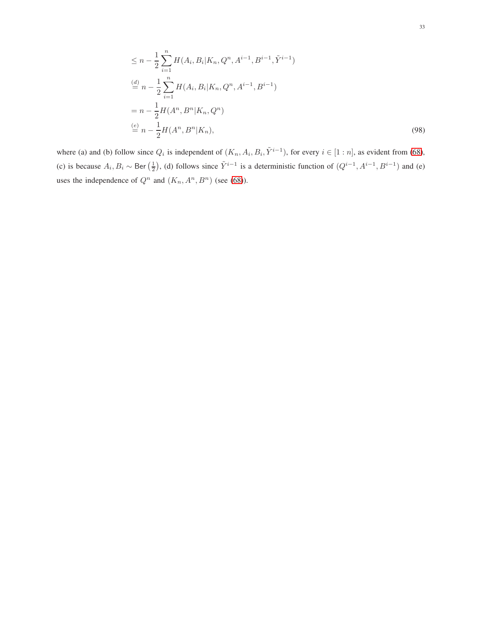$$
\leq n - \frac{1}{2} \sum_{i=1}^{n} H(A_i, B_i | K_n, Q^n, A^{i-1}, B^{i-1}, \tilde{Y}^{i-1})
$$
  
\n
$$
\stackrel{(d)}{=} n - \frac{1}{2} \sum_{i=1}^{n} H(A_i, B_i | K_n, Q^n, A^{i-1}, B^{i-1})
$$
  
\n
$$
= n - \frac{1}{2} H(A^n, B^n | K_n, Q^n)
$$
  
\n
$$
\stackrel{(e)}{=} n - \frac{1}{2} H(A^n, B^n | K_n),
$$
\n(98)

where (a) and (b) follow since  $Q_i$  is independent of  $(K_n, A_i, B_i, \tilde{Y}^{i-1})$ , for every  $i \in [1:n]$ , as evident from [\(68\)](#page-25-4), (c) is because  $A_i, B_i \sim \text{Ber}\left(\frac{1}{2}\right)$ , (d) follows since  $\tilde{Y}^{i-1}$  is a deterministic function of  $(Q^{i-1}, A^{i-1}, B^{i-1})$  and (e) uses the independence of  $Q^n$  and  $(K_n, A^n, B^n)$  (see [\(68\)](#page-25-4)).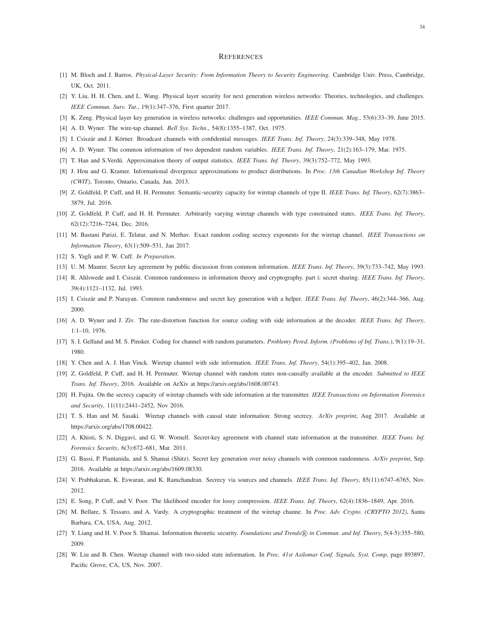#### **REFERENCES**

- <span id="page-33-0"></span>[1] M. Bloch and J. Barros. *Physical-Layer Security: From Information Theory to Security Engineering*. Cambridge Univ. Press, Cambridge, UK, Oct. 2011.
- <span id="page-33-1"></span>[2] Y. Liu, H. H. Chen, and L. Wang. Physical layer security for next generation wireless networks: Theories, technologies, and challenges. *IEEE Commun. Surv. Tut.*, 19(1):347–376, First quarter 2017.
- <span id="page-33-2"></span>[3] K. Zeng. Physical layer key generation in wireless networks: challenges and opportunities. *IEEE Commun. Mag.*, 53(6):33–39, June 2015.
- <span id="page-33-3"></span>[4] A. D. Wyner. The wire-tap channel. *Bell Sys. Techn.*, 54(8):1355–1387, Oct. 1975.
- <span id="page-33-4"></span>[5] I. Csiszár and J. Körner. Broadcast channels with confidential messages. *IEEE Trans. Inf. Theory*, 24(3):339-348, May 1978.
- <span id="page-33-5"></span>[6] A. D. Wyner. The common information of two dependent random variables. *IEEE Trans. Inf. Theory*, 21(2):163–179, Mar. 1975.
- [7] T. Han and S.Verdú. Approximation theory of output statistics. *IEEE Trans. Inf. Theory*, 39(3):752–772, May 1993.
- <span id="page-33-25"></span>[8] J. Hou and G. Kramer. Informational divergence approximations to product distributions. In *Proc. 13th Canadian Workshop Inf. Theory (CWIT)*, Toronto, Ontario, Canada, Jun. 2013.
- <span id="page-33-6"></span>[9] Z. Goldfeld, P. Cuff, and H. H. Permuter. Semantic-security capacity for wiretap channels of type II. *IEEE Trans. Inf. Theory*, 62(7):3863– 3879, Jul. 2016.
- <span id="page-33-7"></span>[10] Z. Goldfeld, P. Cuff, and H. H. Permuter. Arbitrarily varying wiretap channels with type constrained states. *IEEE Trans. Inf. Theory*, 62(12):7216–7244, Dec. 2016.
- <span id="page-33-8"></span>[11] M. Bastani Parizi, E. Telatar, and N. Merhav. Exact random coding secrecy exponents for the wiretap channel. *IEEE Transactions on Information Theory*, 63(1):509–531, Jan 2017.
- <span id="page-33-9"></span>[12] S. Yagli and P. W. Cuff. *In Preparation*.
- <span id="page-33-10"></span>[13] U. M. Maurer. Secret key agreement by public discussion from common information. *IEEE Trans. Inf. Theory*, 39(3):733–742, May 1993.
- <span id="page-33-11"></span>[14] R. Ahlswede and I. Csisz´ar. Common randomness in information theory and cryptography. part i: secret sharing. *IEEE Trans. Inf. Theory*, 39(4):1121–1132, Jul. 1993.
- <span id="page-33-12"></span>[15] I. Csisz´ar and P. Narayan. Common randomness and secret key generation with a helper. *IEEE Trans. Inf. Theory*, 46(2):344–366, Aug. 2000.
- <span id="page-33-13"></span>[16] A. D. Wyner and J. Ziv. The rate-distortion function for source coding with side information at the decoder. *IEEE Trans. Inf. Theory*, 1:1–10, 1976.
- <span id="page-33-14"></span>[17] S. I. Gelfand and M. S. Pinsker. Coding for channel with random parameters. *Problemy Pered. Inform. (Problems of Inf. Trans.)*, 9(1):19–31, 1980.
- <span id="page-33-15"></span>[18] Y. Chen and A. J. Han Vinck. Wiretap channel with side information. *IEEE Trans. Inf. Theory*, 54(1):395–402, Jan. 2008.
- <span id="page-33-18"></span>[19] Z. Goldfeld, P. Cuff, and H. H. Permuter. Wiretap channel with random states non-causally available at the encoder. *Submitted to IEEE Trans. Inf. Theory*, 2016. Available on ArXiv at https://arxiv.org/abs/1608.00743.
- <span id="page-33-19"></span>[20] H. Fujita. On the secrecy capacity of wiretap channels with side information at the transmitter. *IEEE Transactions on Information Forensics and Security*, 11(11):2441–2452, Nov 2016.
- <span id="page-33-16"></span>[21] T. S. Han and M. Sasaki. Wiretap channels with causal state information: Strong secrecy. *ArXiv preprint*, Aug 2017. Available at https://arxiv.org/abs/1708.00422.
- <span id="page-33-17"></span>[22] A. Khisti, S. N. Diggavi, and G. W. Wornell. Secret-key agreement with channel state information at the transmitter. *IEEE Trans. Inf. Forensics Security*, 6(3):672–681, Mar. 2011.
- <span id="page-33-20"></span>[23] G. Bassi, P. Piantanida, and S. Shamai (Shitz). Secret key generation over noisy channels with common randomness. *ArXiv preprint*, Sep. 2016. Available at https://arxiv.org/abs/1609.08330.
- <span id="page-33-21"></span>[24] V. Prabhakaran, K. Eswaran, and K. Ramchandran. Secrecy via sources and channels. *IEEE Trans. Inf. Theory*, 85(11):6747–6765, Nov. 2012.
- <span id="page-33-22"></span>[25] E. Song, P. Cuff, and V. Poor. The likelihood encoder for lossy compression. *IEEE Trans. Inf. Theory*, 62(4):1836–1849, Apr. 2016.
- <span id="page-33-23"></span>[26] M. Bellare, S. Tessaro, and A. Vardy. A cryptographic treatment of the wiretap channe. In *Proc. Adv. Crypto. (CRYPTO 2012)*, Santa Barbara, CA, USA, Aug. 2012.
- <span id="page-33-24"></span>[27] Y. Liang and H. V. Poor S. Shamai. Information theoretic security. *Foundations and Trends*( $\&$ ) in Commun. and Inf. Theory, 5(4-5):355–580, 2009.
- [28] W. Liu and B. Chen. Wiretap channel with two-sided state information. In *Proc. 41st Asilomar Conf. Signals, Syst. Comp*, page 893897, Pacific Grove, CA, US, Nov. 2007.